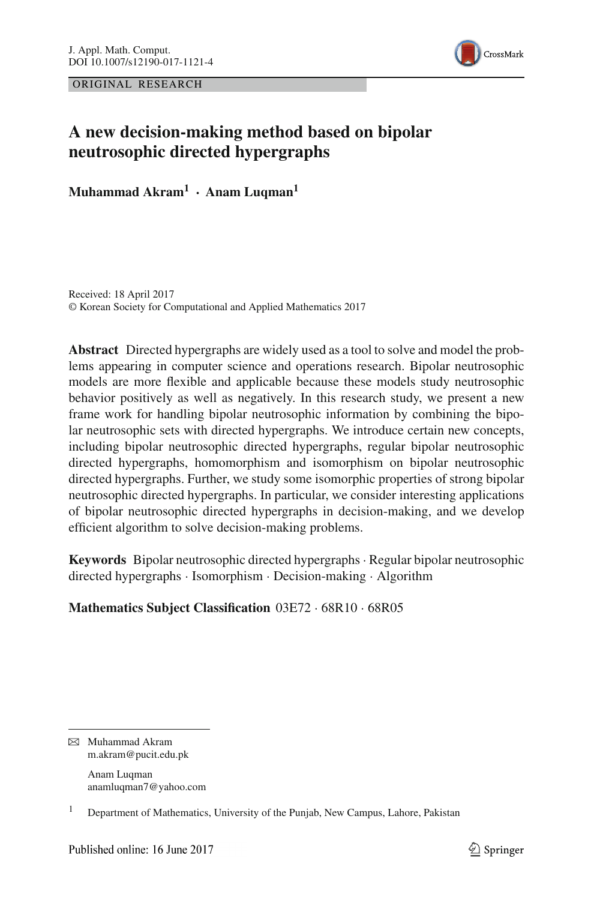ORIGINAL RESEARCH



# **A new decision-making method based on bipolar neutrosophic directed hypergraphs**

**Muhammad Akram1 · Anam Luqman1**

Received: 18 April 2017 © Korean Society for Computational and Applied Mathematics 2017

**Abstract** Directed hypergraphs are widely used as a tool to solve and model the problems appearing in computer science and operations research. Bipolar neutrosophic models are more flexible and applicable because these models study neutrosophic behavior positively as well as negatively. In this research study, we present a new frame work for handling bipolar neutrosophic information by combining the bipolar neutrosophic sets with directed hypergraphs. We introduce certain new concepts, including bipolar neutrosophic directed hypergraphs, regular bipolar neutrosophic directed hypergraphs, homomorphism and isomorphism on bipolar neutrosophic directed hypergraphs. Further, we study some isomorphic properties of strong bipolar neutrosophic directed hypergraphs. In particular, we consider interesting applications of bipolar neutrosophic directed hypergraphs in decision-making, and we develop efficient algorithm to solve decision-making problems.

**Keywords** Bipolar neutrosophic directed hypergraphs· Regular bipolar neutrosophic directed hypergraphs · Isomorphism · Decision-making · Algorithm

## **Mathematics Subject Classification** 03E72 · 68R10 · 68R05

B Muhammad Akram m.akram@pucit.edu.pk

> Anam Luqman anamluqman7@yahoo.com

<sup>&</sup>lt;sup>1</sup> Department of Mathematics, University of the Punjab, New Campus, Lahore, Pakistan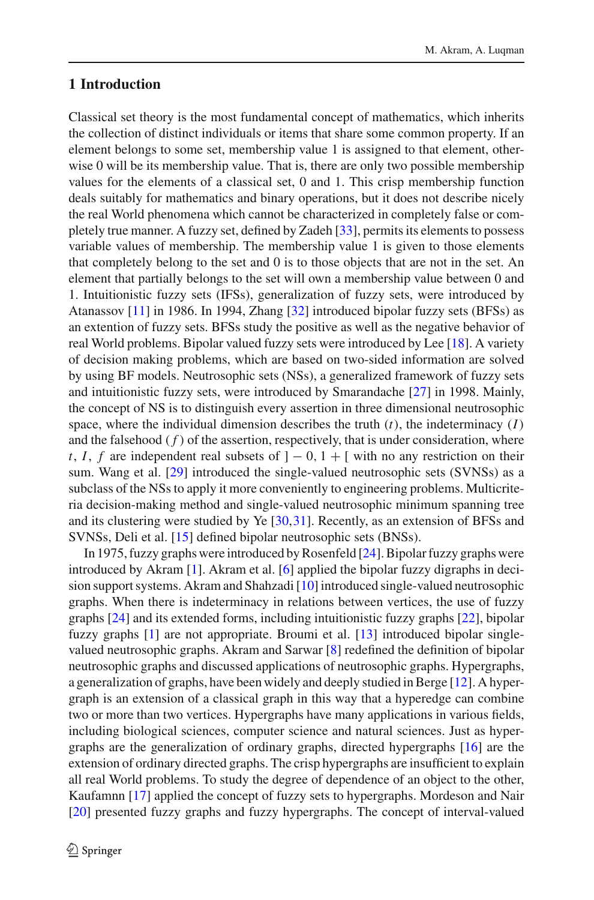## **1 Introduction**

Classical set theory is the most fundamental concept of mathematics, which inherits the collection of distinct individuals or items that share some common property. If an element belongs to some set, membership value 1 is assigned to that element, otherwise 0 will be its membership value. That is, there are only two possible membership values for the elements of a classical set, 0 and 1. This crisp membership function deals suitably for mathematics and binary operations, but it does not describe nicely the real World phenomena which cannot be characterized in completely false or completely true manner. A fuzzy set, defined by Zadeh [\[33](#page-28-0)], permits its elements to possess variable values of membership. The membership value 1 is given to those elements that completely belong to the set and 0 is to those objects that are not in the set. An element that partially belongs to the set will own a membership value between 0 and 1. Intuitionistic fuzzy sets (IFSs), generalization of fuzzy sets, were introduced by Atanassov [\[11\]](#page-27-0) in 1986. In 1994, Zhang [\[32\]](#page-28-1) introduced bipolar fuzzy sets (BFSs) as an extention of fuzzy sets. BFSs study the positive as well as the negative behavior of real World problems. Bipolar valued fuzzy sets were introduced by Lee [\[18\]](#page-28-2). A variety of decision making problems, which are based on two-sided information are solved by using BF models. Neutrosophic sets (NSs), a generalized framework of fuzzy sets and intuitionistic fuzzy sets, were introduced by Smarandache [\[27\]](#page-28-3) in 1998. Mainly, the concept of NS is to distinguish every assertion in three dimensional neutrosophic space, where the individual dimension describes the truth  $(t)$ , the indeterminacy  $(I)$ and the falsehood  $(f)$  of the assertion, respectively, that is under consideration, where *t*, *I*, *f* are independent real subsets of  $] - 0$ ,  $1 + [$  with no any restriction on their sum. Wang et al. [\[29\]](#page-28-4) introduced the single-valued neutrosophic sets (SVNSs) as a subclass of the NSs to apply it more conveniently to engineering problems. Multicriteria decision-making method and single-valued neutrosophic minimum spanning tree and its clustering were studied by Ye [\[30](#page-28-5)[,31](#page-28-6)]. Recently, as an extension of BFSs and SVNSs, Deli et al. [\[15\]](#page-28-7) defined bipolar neutrosophic sets (BNSs).

In 1975, fuzzy graphs were introduced by Rosenfeld [\[24\]](#page-28-8). Bipolar fuzzy graphs were introduced by Akram [\[1](#page-27-1)]. Akram et al. [\[6](#page-27-2)] applied the bipolar fuzzy digraphs in decision support systems. Akram and Shahzadi [\[10](#page-27-3)] introduced single-valued neutrosophic graphs. When there is indeterminacy in relations between vertices, the use of fuzzy graphs [\[24\]](#page-28-8) and its extended forms, including intuitionistic fuzzy graphs [\[22\]](#page-28-9), bipolar fuzzy graphs [\[1\]](#page-27-1) are not appropriate. Broumi et al. [\[13](#page-28-10)] introduced bipolar singlevalued neutrosophic graphs. Akram and Sarwar [\[8\]](#page-27-4) redefined the definition of bipolar neutrosophic graphs and discussed applications of neutrosophic graphs. Hypergraphs, a generalization of graphs, have been widely and deeply studied in Berge [\[12](#page-27-5)]. A hypergraph is an extension of a classical graph in this way that a hyperedge can combine two or more than two vertices. Hypergraphs have many applications in various fields, including biological sciences, computer science and natural sciences. Just as hypergraphs are the generalization of ordinary graphs, directed hypergraphs [\[16\]](#page-28-11) are the extension of ordinary directed graphs. The crisp hypergraphs are insufficient to explain all real World problems. To study the degree of dependence of an object to the other, Kaufamnn [\[17](#page-28-12)] applied the concept of fuzzy sets to hypergraphs. Mordeson and Nair [\[20](#page-28-13)] presented fuzzy graphs and fuzzy hypergraphs. The concept of interval-valued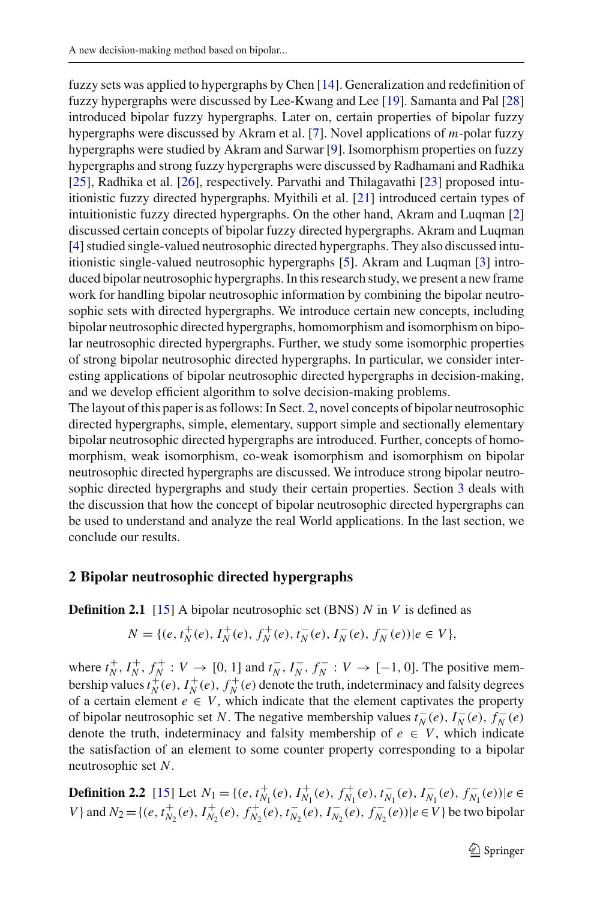fuzzy sets was applied to hypergraphs by Chen [\[14\]](#page-28-14). Generalization and redefinition of fuzzy hypergraphs were discussed by Lee-Kwang and Lee [\[19\]](#page-28-15). Samanta and Pal [\[28\]](#page-28-16) introduced bipolar fuzzy hypergraphs. Later on, certain properties of bipolar fuzzy hypergraphs were discussed by Akram et al. [\[7](#page-27-6)]. Novel applications of *m*-polar fuzzy hypergraphs were studied by Akram and Sarwar [\[9\]](#page-27-7). Isomorphism properties on fuzzy hypergraphs and strong fuzzy hypergraphs were discussed by Radhamani and Radhika [\[25](#page-28-17)], Radhika et al. [\[26](#page-28-18)], respectively. Parvathi and Thilagavathi [\[23\]](#page-28-19) proposed intuitionistic fuzzy directed hypergraphs. Myithili et al. [\[21](#page-28-20)] introduced certain types of intuitionistic fuzzy directed hypergraphs. On the other hand, Akram and Luqman [\[2\]](#page-27-8) discussed certain concepts of bipolar fuzzy directed hypergraphs. Akram and Luqman [\[4](#page-27-9)] studied single-valued neutrosophic directed hypergraphs. They also discussed intuitionistic single-valued neutrosophic hypergraphs [\[5](#page-27-10)]. Akram and Luqman [\[3\]](#page-27-11) introduced bipolar neutrosophic hypergraphs. In this research study, we present a new frame work for handling bipolar neutrosophic information by combining the bipolar neutrosophic sets with directed hypergraphs. We introduce certain new concepts, including bipolar neutrosophic directed hypergraphs, homomorphism and isomorphism on bipolar neutrosophic directed hypergraphs. Further, we study some isomorphic properties of strong bipolar neutrosophic directed hypergraphs. In particular, we consider interesting applications of bipolar neutrosophic directed hypergraphs in decision-making, and we develop efficient algorithm to solve decision-making problems.

The layout of this paper is as follows: In Sect. [2,](#page-2-0) novel concepts of bipolar neutrosophic directed hypergraphs, simple, elementary, support simple and sectionally elementary bipolar neutrosophic directed hypergraphs are introduced. Further, concepts of homomorphism, weak isomorphism, co-weak isomorphism and isomorphism on bipolar neutrosophic directed hypergraphs are discussed. We introduce strong bipolar neutrosophic directed hypergraphs and study their certain properties. Section [3](#page-21-0) deals with the discussion that how the concept of bipolar neutrosophic directed hypergraphs can be used to understand and analyze the real World applications. In the last section, we conclude our results.

#### <span id="page-2-0"></span>**2 Bipolar neutrosophic directed hypergraphs**

**Definition 2.1** [\[15](#page-28-7)] A bipolar neutrosophic set (BNS) *N* in *V* is defined as

$$
N = \{ (e, t_N^+(e), I_N^+(e), f_N^+(e), t_N^-(e), I_N^-(e), f_N^-(e)) | e \in V \},
$$

where  $t_N^+$ ,  $I_N^+$ ,  $f_N^+$ :  $V \to [0, 1]$  and  $t_N^-$ ,  $I_N^-$ ,  $f_N^-$ :  $V \to [-1, 0]$ . The positive membership values  $t_N^+(e)$ ,  $I_N^+(e)$ ,  $f_N^+(e)$  denote the truth, indeterminacy and falsity degrees of a certain element  $e \in V$ , which indicate that the element captivates the property of bipolar neutrosophic set *N*. The negative membership values  $t_N^-(e)$ ,  $I_N^-(e)$ ,  $f_N^-(e)$ denote the truth, indeterminacy and falsity membership of  $e \in V$ , which indicate the satisfaction of an element to some counter property corresponding to a bipolar neutrosophic set *N*.

**Definition 2.2** [\[15](#page-28-7)] Let  $N_1 = \{(e, t_{N_1}^+(e), t_{N_1}^+(e), t_{N_1}^+(e), t_{N_1}^-(e), t_{N_1}^-(e), t_{N_1}^-(e)) | e \in$ V } and  $N_2 = \{(e, t_{N_2}^+(e), t_{N_2}^+(e), t_{N_2}^+(e), t_{N_2}^-(e), t_{N_2}^-(e), t_{N_2}^-(e)) | e \in V \}$  be two bipolar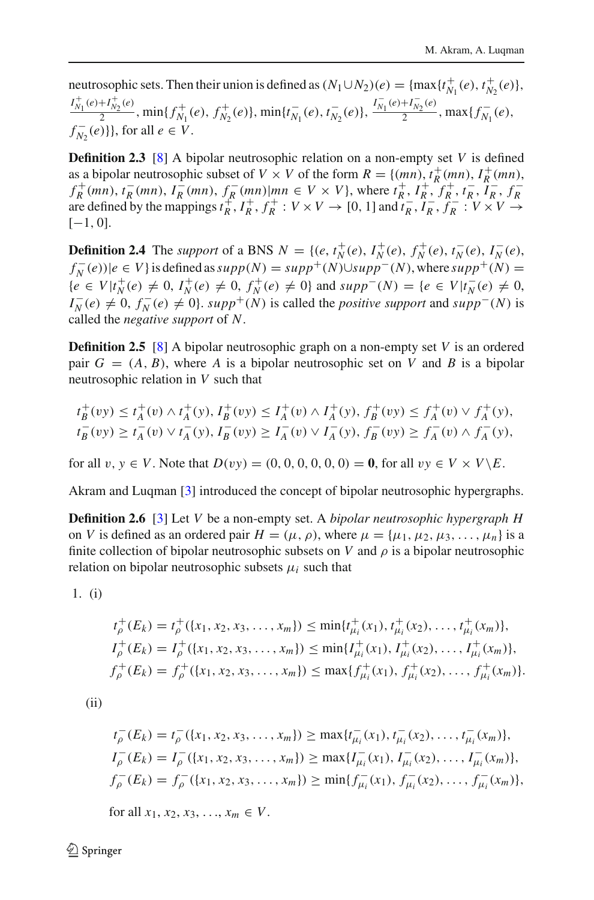neutrosophic sets. Then their union is defined as  $(N_1 \cup N_2)(e) = \{\max\{t_{N_1}^+(e), t_{N_2}^+(e)\}\,$  $I_{N_1}^+(\epsilon)+I_{N_2}^+(\epsilon)$ ,  $\min\{f_{N_1}^+(e), f_{N_2}^+(e)\}$ ,  $\min\{t_{N_1}^-(e), t_{N_2}^-(e)\}$ ,  $\frac{I_{N_1}^-(e)+I_{N_2}^-(e)}{2}$ ,  $\max\{f_{N_1}^-(e),$ *f*  $_{N_2}^-(e)$ }, for all *e* ∈ *V*.

**Definition 2.3** [\[8](#page-27-4)] A bipolar neutrosophic relation on a non-empty set *V* is defined as a bipolar neutrosophic subset of  $V \times V$  of the form  $R = \{(mn), t_R^+(mn), I_R^+(mn),$  $f_R^+(mn)$ ,  $t_R^-(mn)$ ,  $I_R^-(mn)$ ,  $f_R^-(mn)|mn \in V \times V$ , where  $t_R^+, I_R^+, f_R^+, t_R^-, I_R^-, f_R^-$ <br>are defined by the mappings  $t_R^+, I_R^+, f_R^+ : V \times V \rightarrow [0, 1]$  and  $t_R^-, I_R^-, f_R^- : V \times V \rightarrow$  $[-1, 0].$ 

**Definition 2.4** The support of a BNS  $N = \{(e, t_N^+(e), I_N^+(e), f_N^+(e), t_N^-(e), I_N^-(e), I_N^-(e), I_N^-(e))\}$  $f_N^-(e)$ )| $e \in V$ } is defined as  $supp(N) = supp^+(N) \cup supp^-(N)$ , where  $supp^+(N) =$  ${e \in V | t_N^+(e) \neq 0, I_N^+(e) \neq 0, f_N^+(e) \neq 0}$  and  $supp^-(N) = {e \in V | t_N^-(e) \neq 0, I_N^-(e) \neq 0}$  $I_N^-(e) \neq 0$ ,  $f_N^-(e) \neq 0$ ,  $supp^+(N)$  is called the *positive support* and  $supp^-(N)$  is called the *negative support* of *N*.

**Definition 2.5** [\[8](#page-27-4)] A bipolar neutrosophic graph on a non-empty set *V* is an ordered pair  $G = (A, B)$ , where A is a bipolar neutrosophic set on *V* and B is a bipolar neutrosophic relation in *V* such that

$$
t_B^+(vy) \le t_A^+(v) \wedge t_A^+(y), I_B^+(vy) \le I_A^+(v) \wedge I_A^+(y), f_B^+(vy) \le f_A^+(v) \vee f_A^+(y),
$$
  

$$
t_B^-(vy) \ge t_A^-(v) \vee t_A^-(y), I_B^-(vy) \ge I_A^-(v) \vee I_A^-(y), f_B^-(vy) \ge f_A^-(v) \wedge f_A^-(y),
$$

for all  $v, y \in V$ . Note that  $D(vy) = (0, 0, 0, 0, 0, 0) = 0$ , for all  $vv \in V \times V \backslash E$ .

Akram and Luqman [\[3\]](#page-27-11) introduced the concept of bipolar neutrosophic hypergraphs.

**Definition 2.6** [\[3](#page-27-11)] Let *V* be a non-empty set. A *bipolar neutrosophic hypergraph H* on *V* is defined as an ordered pair  $H = (\mu, \rho)$ , where  $\mu = {\mu_1, \mu_2, \mu_3, \ldots, \mu_n}$  is a finite collection of bipolar neutrosophic subsets on *V* and  $\rho$  is a bipolar neutrosophic relation on bipolar neutrosophic subsets  $\mu_i$  such that

1. (i)

$$
t_{\rho}^{+}(E_{k}) = t_{\rho}^{+}(\lbrace x_{1}, x_{2}, x_{3}, \ldots, x_{m} \rbrace) \le \min\{t_{\mu_{i}}^{+}(x_{1}), t_{\mu_{i}}^{+}(x_{2}), \ldots, t_{\mu_{i}}^{+}(x_{m})\},
$$
  
\n
$$
I_{\rho}^{+}(E_{k}) = I_{\rho}^{+}(\lbrace x_{1}, x_{2}, x_{3}, \ldots, x_{m} \rbrace) \le \min\{I_{\mu_{i}}^{+}(x_{1}), I_{\mu_{i}}^{+}(x_{2}), \ldots, I_{\mu_{i}}^{+}(x_{m})\},
$$
  
\n
$$
f_{\rho}^{+}(E_{k}) = f_{\rho}^{+}(\lbrace x_{1}, x_{2}, x_{3}, \ldots, x_{m} \rbrace) \le \max\{f_{\mu_{i}}^{+}(x_{1}), f_{\mu_{i}}^{+}(x_{2}), \ldots, f_{\mu_{i}}^{+}(x_{m})\}.
$$

(ii)

$$
t_{\rho}^-(E_k) = t_{\rho}^-(\{x_1, x_2, x_3, \dots, x_m\}) \ge \max\{t_{\mu_i}^-(x_1), t_{\mu_i}^-(x_2), \dots, t_{\mu_i}^-(x_m)\},
$$
  
\n
$$
I_{\rho}^-(E_k) = I_{\rho}^-(\{x_1, x_2, x_3, \dots, x_m\}) \ge \max\{I_{\mu_i}^-(x_1), I_{\mu_i}^-(x_2), \dots, I_{\mu_i}^-(x_m)\},
$$
  
\n
$$
f_{\rho}^-(E_k) = f_{\rho}^-(\{x_1, x_2, x_3, \dots, x_m\}) \ge \min\{f_{\mu_i}^-(x_1), f_{\mu_i}^-(x_2), \dots, f_{\mu_i}^-(x_m)\},
$$

for all  $x_1, x_2, x_3, \ldots, x_m \in V$ .

 $\circled{2}$  Springer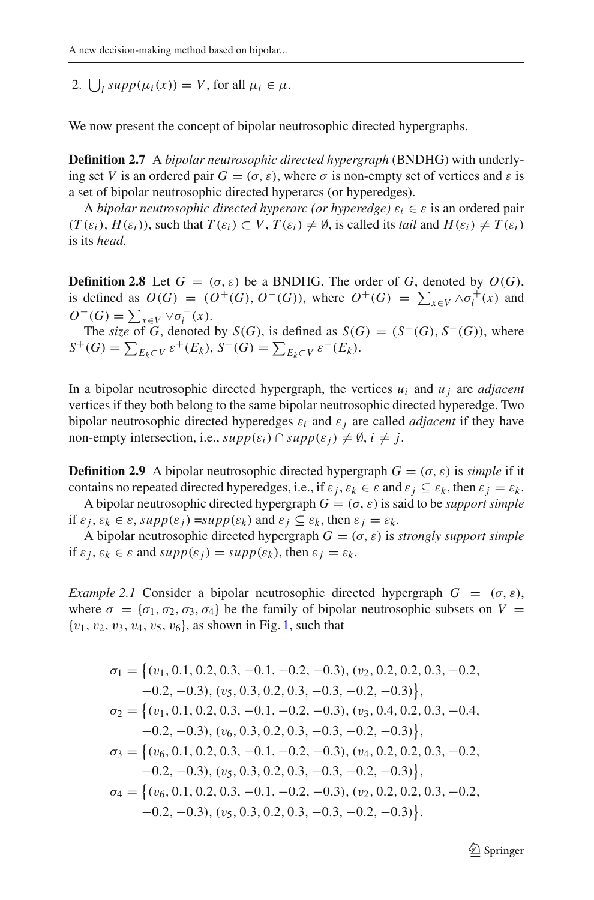2.  $\bigcup_i supp(\mu_i(x)) = V$ , for all  $\mu_i \in \mu$ .

We now present the concept of bipolar neutrosophic directed hypergraphs.

**Definition 2.7** A *bipolar neutrosophic directed hypergraph* (BNDHG) with underlying set *V* is an ordered pair  $G = (\sigma, \varepsilon)$ , where  $\sigma$  is non-empty set of vertices and  $\varepsilon$  is a set of bipolar neutrosophic directed hyperarcs (or hyperedges).

A *bipolar neutrosophic directed hyperarc (or hyperedge)*  $\varepsilon_i \in \varepsilon$  is an ordered pair  $(T(\varepsilon_i), H(\varepsilon_i))$ , such that  $T(\varepsilon_i) \subset V$ ,  $T(\varepsilon_i) \neq \emptyset$ , is called its *tail* and  $H(\varepsilon_i) \neq T(\varepsilon_i)$ is its *head*.

**Definition 2.8** Let  $G = (\sigma, \varepsilon)$  be a BNDHG. The order of *G*, denoted by  $O(G)$ , is defined as  $O(G) = (O^+(G), O^-(G))$ , where  $O^+(G) = \sum_{x \in V} \wedge \sigma_i^+(x)$  and  $O^-(G) = \sum_{x \in V} \vee \sigma_i^-(x).$ 

The *size* of *G*, denoted by *S*(*G*), is defined as *S*(*G*) = (*S*<sup>+</sup>(*G*), *S*<sup>−</sup>(*G*)), where  $S^+(G) = \sum_{E_k \subset V} \varepsilon^+(E_k), S^-(G) = \sum_{E_k \subset V} \varepsilon^-(E_k).$ 

In a bipolar neutrosophic directed hypergraph, the vertices  $u_i$  and  $u_j$  are *adjacent* vertices if they both belong to the same bipolar neutrosophic directed hyperedge. Two bipolar neutrosophic directed hyperedges  $\varepsilon_i$  and  $\varepsilon_j$  are called *adjacent* if they have non-empty intersection, i.e.,  $supp(\varepsilon_i) \cap supp(\varepsilon_j) \neq \emptyset$ ,  $i \neq j$ .

**Definition 2.9** A bipolar neutrosophic directed hypergraph  $G = (\sigma, \varepsilon)$  is *simple* if it contains no repeated directed hyperedges, i.e., if  $\varepsilon_i$ ,  $\varepsilon_k \in \varepsilon$  and  $\varepsilon_j \subseteq \varepsilon_k$ , then  $\varepsilon_j = \varepsilon_k$ .

A bipolar neutrosophic directed hypergraph  $G = (\sigma, \varepsilon)$  is said to be *support simple* if  $\varepsilon_i$ ,  $\varepsilon_k \in \varepsilon$ ,  $supp(\varepsilon_i)$  =  $supp(\varepsilon_k)$  and  $\varepsilon_i \subseteq \varepsilon_k$ , then  $\varepsilon_i = \varepsilon_k$ .

A bipolar neutrosophic directed hypergraph  $G = (\sigma, \varepsilon)$  is *strongly support simple* if  $\varepsilon_i$ ,  $\varepsilon_k \in \varepsilon$  and  $supp(\varepsilon_i) = supp(\varepsilon_k)$ , then  $\varepsilon_i = \varepsilon_k$ .

*Example 2.1* Consider a bipolar neutrosophic directed hypergraph  $G = (\sigma, \varepsilon)$ , where  $\sigma = {\sigma_1, \sigma_2, \sigma_3, \sigma_4}$  be the family of bipolar neutrosophic subsets on  $V =$  ${v_1, v_2, v_3, v_4, v_5, v_6}$  ${v_1, v_2, v_3, v_4, v_5, v_6}$  ${v_1, v_2, v_3, v_4, v_5, v_6}$ , as shown in Fig. 1, such that

$$
\sigma_1 = \{(v_1, 0.1, 0.2, 0.3, -0.1, -0.2, -0.3), (v_2, 0.2, 0.2, 0.3, -0.2, -0.2, -0.2), (v_5, 0.3, 0.2, 0.3, -0.3, -0.2, -0.3)\},
$$
  
\n
$$
\sigma_2 = \{(v_1, 0.1, 0.2, 0.3, -0.1, -0.2, -0.3), (v_3, 0.4, 0.2, 0.3, -0.4, -0.2, -0.3), (v_6, 0.3, 0.2, 0.3, -0.3, -0.2, -0.3)\},
$$
  
\n
$$
\sigma_3 = \{(v_6, 0.1, 0.2, 0.3, -0.1, -0.2, -0.3), (v_4, 0.2, 0.2, 0.3, -0.2, -0.2, -0.3), (v_5, 0.3, 0.2, 0.3, -0.2, -0.3), (v_2, 0.2, 0.2, 0.3, -0.2, -0.2, -0.3), (v_5, 0.3, 0.2, 0.3, -0.3, -0.2, -0.3)\}.
$$

 $\mathcal{D}$  Springer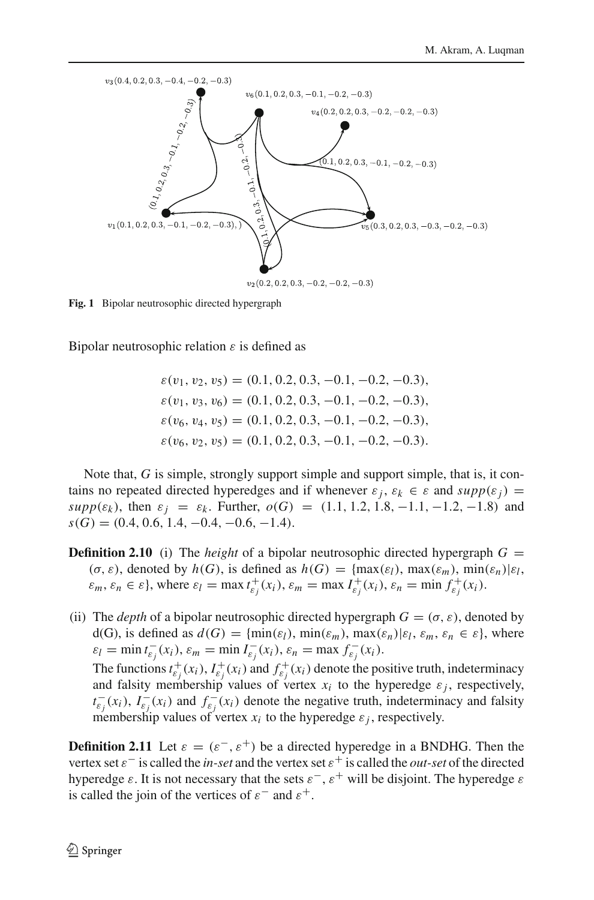

<span id="page-5-0"></span>**Fig. 1** Bipolar neutrosophic directed hypergraph

Bipolar neutrosophic relation  $\varepsilon$  is defined as

$$
\varepsilon(v_1, v_2, v_5) = (0.1, 0.2, 0.3, -0.1, -0.2, -0.3),
$$
  
\n
$$
\varepsilon(v_1, v_3, v_6) = (0.1, 0.2, 0.3, -0.1, -0.2, -0.3),
$$
  
\n
$$
\varepsilon(v_6, v_4, v_5) = (0.1, 0.2, 0.3, -0.1, -0.2, -0.3),
$$
  
\n
$$
\varepsilon(v_6, v_2, v_5) = (0.1, 0.2, 0.3, -0.1, -0.2, -0.3).
$$

Note that, *G* is simple, strongly support simple and support simple, that is, it contains no repeated directed hyperedges and if whenever  $\varepsilon_i$ ,  $\varepsilon_k \in \varepsilon$  and  $supp(\varepsilon_i)$  = *supp*( $\varepsilon_k$ ), then  $\varepsilon_j = \varepsilon_k$ . Further,  $o(G) = (1.1, 1.2, 1.8, -1.1, -1.2, -1.8)$  and  $s(G) = (0.4, 0.6, 1.4, -0.4, -0.6, -1.4).$ 

- **Definition 2.10** (i) The *height* of a bipolar neutrosophic directed hypergraph  $G =$  $(\sigma, \varepsilon)$ , denoted by  $h(G)$ , is defined as  $h(G) = \{\max(\varepsilon_l), \max(\varepsilon_m), \min(\varepsilon_l) | \varepsilon_l,$  $\varepsilon_m$ ,  $\varepsilon_n \in \varepsilon$ , where  $\varepsilon_l = \max t_{\varepsilon_j}^+(x_i)$ ,  $\varepsilon_m = \max I_{\varepsilon_j}^+(x_i)$ ,  $\varepsilon_n = \min f_{\varepsilon_j}^+(x_i)$ .
- (ii) The *depth* of a bipolar neutrosophic directed hypergraph  $G = (\sigma, \varepsilon)$ , denoted by d(G), is defined as  $d(G) = \{\min(\varepsilon_l), \min(\varepsilon_m), \max(\varepsilon_n) | \varepsilon_l, \varepsilon_m, \varepsilon_n \in \varepsilon\}$ , where  $\varepsilon_l = \min t_{\varepsilon_j}^-(x_i), \varepsilon_m = \min I_{\varepsilon_j}^-(x_i), \varepsilon_n = \max f_{\varepsilon_j}^-(x_i).$ The functions  $t_{\varepsilon_j}^+(x_i)$ ,  $I_{\varepsilon_j}^+(x_i)$  and  $f_{\varepsilon_j}^+(x_i)$  denote the positive truth, indeterminacy and falsity membership values of vertex  $x_i$  to the hyperedge  $\varepsilon_j$ , respectively,  $t_{\varepsilon_j}^-(x_i)$ ,  $I_{\varepsilon_j}^-(x_i)$  and  $f_{\varepsilon_j}^-(x_i)$  denote the negative truth, indeterminacy and falsity

membership values of vertex  $x_i$  to the hyperedge  $\varepsilon_j$ , respectively.

**Definition 2.11** Let  $\varepsilon = (\varepsilon^-, \varepsilon^+)$  be a directed hyperedge in a BNDHG. Then the vertex set  $\varepsilon^-$  is called the *in-set* and the vertex set  $\varepsilon^+$  is called the *out-set* of the directed hyperedge  $\varepsilon$ . It is not necessary that the sets  $\varepsilon^{-}$ ,  $\varepsilon^{+}$  will be disjoint. The hyperedge  $\varepsilon$ is called the join of the vertices of  $\varepsilon^-$  and  $\varepsilon^+$ .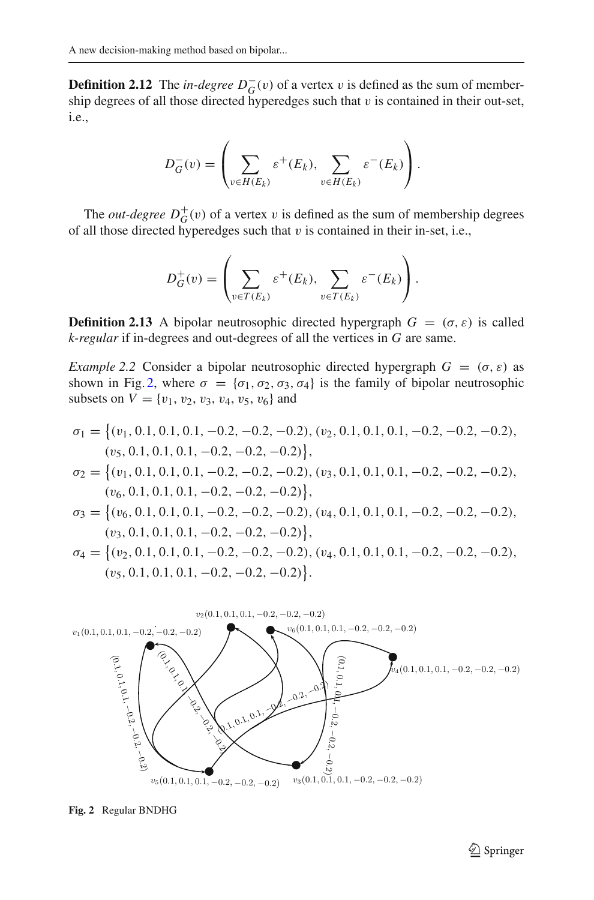**Definition 2.12** The *in-degree*  $D_G^-(v)$  of a vertex v is defined as the sum of membership degrees of all those directed hyperedges such that  $v$  is contained in their out-set, i.e.,

$$
D_G^-(v) = \left(\sum_{v \in H(E_k)} \varepsilon^+(E_k), \sum_{v \in H(E_k)} \varepsilon^-(E_k)\right).
$$

The *out-degree*  $D_G^+(v)$  of a vertex v is defined as the sum of membership degrees of all those directed hyperedges such that  $v$  is contained in their in-set, i.e.,

$$
D_G^+(v) = \left(\sum_{v \in T(E_k)} \varepsilon^+(E_k), \sum_{v \in T(E_k)} \varepsilon^-(E_k)\right).
$$

**Definition 2.13** A bipolar neutrosophic directed hypergraph  $G = (\sigma, \varepsilon)$  is called *k-regular* if in-degrees and out-degrees of all the vertices in *G* are same.

*Example 2.2* Consider a bipolar neutrosophic directed hypergraph  $G = (\sigma, \varepsilon)$  as shown in Fig. [2,](#page-6-0) where  $\sigma = {\sigma_1, \sigma_2, \sigma_3, \sigma_4}$  is the family of bipolar neutrosophic subsets on  $V = \{v_1, v_2, v_3, v_4, v_5, v_6\}$  and

$$
\sigma_1 = \{(v_1, 0.1, 0.1, 0.1, -0.2, -0.2, -0.2), (v_2, 0.1, 0.1, 0.1, -0.2, -0.2, -0.2), (v_5, 0.1, 0.1, 0.1, -0.2, -0.2, -0.2)\},
$$
  
\n
$$
\sigma_2 = \{(v_1, 0.1, 0.1, 0.1, -0.2, -0.2, -0.2), (v_3, 0.1, 0.1, 0.1, -0.2, -0.2, -0.2), (v_6, 0.1, 0.1, 0.1, -0.2, -0.2, -0.2)\},
$$
  
\n
$$
\sigma_3 = \{(v_6, 0.1, 0.1, 0.1, -0.2, -0.2, -0.2), (v_4, 0.1, 0.1, 0.1, -0.2, -0.2, -0.2), (v_3, 0.1, 0.1, 0.1, -0.2, -0.2, -0.2)\},
$$
  
\n
$$
\sigma_4 = \{(v_2, 0.1, 0.1, 0.1, -0.2, -0.2, -0.2), (v_4, 0.1, 0.1, 0.1, -0.2, -0.2, -0.2), (v_5, 0.1, 0.1, 0.1, -0.2, -0.2, -0.2)\}.
$$



<span id="page-6-0"></span>**Fig. 2** Regular BNDHG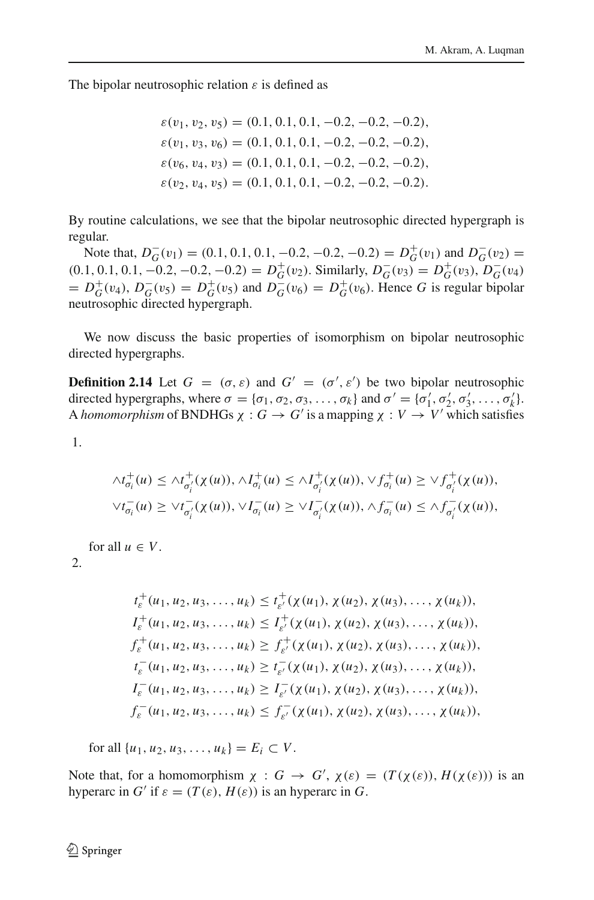The bipolar neutrosophic relation  $\varepsilon$  is defined as

$$
\varepsilon(v_1, v_2, v_5) = (0.1, 0.1, 0.1, -0.2, -0.2, -0.2),
$$
  
\n
$$
\varepsilon(v_1, v_3, v_6) = (0.1, 0.1, 0.1, -0.2, -0.2, -0.2),
$$
  
\n
$$
\varepsilon(v_6, v_4, v_3) = (0.1, 0.1, 0.1, -0.2, -0.2, -0.2),
$$
  
\n
$$
\varepsilon(v_2, v_4, v_5) = (0.1, 0.1, 0.1, -0.2, -0.2, -0.2).
$$

By routine calculations, we see that the bipolar neutrosophic directed hypergraph is regular.

Note that,  $D_G^-(v_1) = (0.1, 0.1, 0.1, -0.2, -0.2, -0.2) = D_G^+(v_1)$  and  $D_G^-(v_2) =$  $(0.1, 0.1, 0.1, -0.2, -0.2, -0.2) = D_G^+(v_2)$ . Similarly,  $D_G^-(v_3) = D_G^+(v_3)$ ,  $D_G^-(v_4)$  $D_G^+(v_4)$ ,  $D_G^-(v_5) = D_G^+(v_5)$  and  $D_G^-(v_6) = D_G^+(v_6)$ . Hence *G* is regular bipolar neutrosophic directed hypergraph.

We now discuss the basic properties of isomorphism on bipolar neutrosophic directed hypergraphs.

**Definition 2.14** Let  $G = (\sigma, \varepsilon)$  and  $G' = (\sigma', \varepsilon')$  be two bipolar neutrosophic directed hypergraphs, where  $\sigma = {\sigma_1, \sigma_2, \sigma_3, ..., \sigma_k}$  and  $\sigma' = {\sigma'_1, \sigma'_2, \sigma'_3, ..., \sigma'_k}$ . A *homomorphism* of BNDHGs  $\chi : G \to G'$  is a mapping  $\chi : V \to V'$  which satisfies

1.

$$
\Lambda t_{\sigma_i}^+(u) \leq \Lambda t_{\sigma_i'}^+(x(u)), \Lambda t_{\sigma_i}^+(u) \leq \Lambda t_{\sigma_i'}^+(x(u)), \forall f_{\sigma_i}^+(u) \geq \forall f_{\sigma_i'}^+(x(u)),
$$
  

$$
\forall t_{\sigma_i}^-(u) \geq \forall t_{\sigma_i'}^-(x(u)), \forall I_{\sigma_i}^-(u) \geq \forall I_{\sigma_i'}^-(x(u)), \Lambda f_{\sigma_i}^-(u) \leq \Lambda f_{\sigma_i'}^-(x(u)),
$$

for all  $u \in V$ .

2.

$$
t_{\varepsilon}^{+}(u_{1}, u_{2}, u_{3}, \ldots, u_{k}) \leq t_{\varepsilon'}^{+}(\chi(u_{1}), \chi(u_{2}), \chi(u_{3}), \ldots, \chi(u_{k})),
$$
  
\n
$$
I_{\varepsilon}^{+}(u_{1}, u_{2}, u_{3}, \ldots, u_{k}) \leq I_{\varepsilon'}^{+}(\chi(u_{1}), \chi(u_{2}), \chi(u_{3}), \ldots, \chi(u_{k})),
$$
  
\n
$$
f_{\varepsilon}^{+}(u_{1}, u_{2}, u_{3}, \ldots, u_{k}) \geq f_{\varepsilon'}^{+}(\chi(u_{1}), \chi(u_{2}), \chi(u_{3}), \ldots, \chi(u_{k})),
$$
  
\n
$$
t_{\varepsilon}^{-}(u_{1}, u_{2}, u_{3}, \ldots, u_{k}) \geq t_{\varepsilon'}^{-}(\chi(u_{1}), \chi(u_{2}), \chi(u_{3}), \ldots, \chi(u_{k})),
$$
  
\n
$$
I_{\varepsilon}^{-}(u_{1}, u_{2}, u_{3}, \ldots, u_{k}) \geq I_{\varepsilon'}^{-}(\chi(u_{1}), \chi(u_{2}), \chi(u_{3}), \ldots, \chi(u_{k})),
$$
  
\n
$$
f_{\varepsilon}^{-}(u_{1}, u_{2}, u_{3}, \ldots, u_{k}) \leq f_{\varepsilon'}^{-}(\chi(u_{1}), \chi(u_{2}), \chi(u_{3}), \ldots, \chi(u_{k})),
$$

for all  $\{u_1, u_2, u_3, \ldots, u_k\} = E_i \subset V$ .

Note that, for a homomorphism  $\chi : G \to G'$ ,  $\chi(\varepsilon) = (T(\chi(\varepsilon)), H(\chi(\varepsilon)))$  is an hyperarc in *G'* if  $\varepsilon = (T(\varepsilon), H(\varepsilon))$  is an hyperarc in *G*.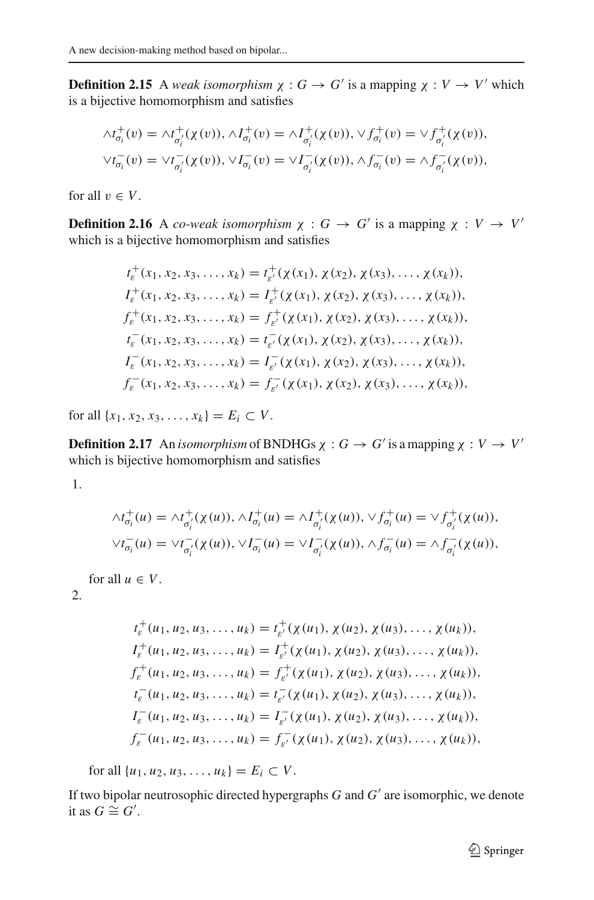**Definition 2.15** A *weak isomorphism*  $\chi : G \to G'$  is a mapping  $\chi : V \to V'$  which is a bijective homomorphism and satisfies

$$
\begin{aligned}\n\wedge t_{\sigma_i}^+(v) &= \wedge t_{\sigma_i'}^+(\chi(v)), \wedge I_{\sigma_i}^+(v) = \wedge I_{\sigma_i'}^+(\chi(v)), \vee f_{\sigma_i}^+(v) = \vee f_{\sigma_i'}^+(\chi(v)), \\
\vee t_{\sigma_i}^-(v) &= \vee t_{\sigma_i'}^-(\chi(v)), \vee I_{\sigma_i}^-(v) = \vee I_{\sigma_i'}^-(\chi(v)), \wedge f_{\sigma_i}^-(v) = \wedge f_{\sigma_i'}^-(\chi(v)),\n\end{aligned}
$$

for all  $v \in V$ .

**Definition 2.16** A *co-weak isomorphism*  $\chi : G \to G'$  is a mapping  $\chi : V \to V'$ which is a bijective homomorphism and satisfies

$$
t_{\varepsilon}^{+}(x_{1}, x_{2}, x_{3}, \ldots, x_{k}) = t_{\varepsilon'}^{+}(\chi(x_{1}), \chi(x_{2}), \chi(x_{3}), \ldots, \chi(x_{k})),
$$
  
\n
$$
I_{\varepsilon}^{+}(x_{1}, x_{2}, x_{3}, \ldots, x_{k}) = I_{\varepsilon'}^{+}(\chi(x_{1}), \chi(x_{2}), \chi(x_{3}), \ldots, \chi(x_{k})),
$$
  
\n
$$
f_{\varepsilon}^{+}(x_{1}, x_{2}, x_{3}, \ldots, x_{k}) = f_{\varepsilon'}^{+}(\chi(x_{1}), \chi(x_{2}), \chi(x_{3}), \ldots, \chi(x_{k})),
$$
  
\n
$$
t_{\varepsilon}^{-}(x_{1}, x_{2}, x_{3}, \ldots, x_{k}) = t_{\varepsilon'}^{-}(\chi(x_{1}), \chi(x_{2}), \chi(x_{3}), \ldots, \chi(x_{k})),
$$
  
\n
$$
I_{\varepsilon}^{-}(x_{1}, x_{2}, x_{3}, \ldots, x_{k}) = I_{\varepsilon'}^{-}(\chi(x_{1}), \chi(x_{2}), \chi(x_{3}), \ldots, \chi(x_{k})),
$$
  
\n
$$
f_{\varepsilon}^{-}(x_{1}, x_{2}, x_{3}, \ldots, x_{k}) = f_{\varepsilon'}^{-}(\chi(x_{1}), \chi(x_{2}), \chi(x_{3}), \ldots, \chi(x_{k})),
$$

for all  $\{x_1, x_2, x_3, \ldots, x_k\} = E_i \subset V$ .

**Definition 2.17** An *isomorphism* of BNDHGs  $\chi : G \to G'$  is a mapping  $\chi : V \to V'$ which is bijective homomorphism and satisfies

1.

$$
\begin{aligned}\n\wedge t_{\sigma_i}^+(u) &= \wedge t_{\sigma_i'}^+( \chi(u)), \wedge I_{\sigma_i}^+(u) = \wedge I_{\sigma_i'}^+( \chi(u)), \vee f_{\sigma_i}^+(u) = \vee f_{\sigma_i'}^+( \chi(u)), \\
\vee t_{\sigma_i}^-(u) &= \vee t_{\sigma_i'}^-( \chi(u)), \vee I_{\sigma_i}^-(u) = \vee I_{\sigma_i'}^-( \chi(u)), \wedge f_{\sigma_i}^-(u) = \wedge f_{\sigma_i'}^-( \chi(u)),\n\end{aligned}
$$

for all  $u \in V$ .

 $2<sup>2</sup>$ 

$$
t_{\varepsilon}^{+}(u_{1}, u_{2}, u_{3}, \ldots, u_{k}) = t_{\varepsilon'}^{+}(\chi(u_{1}), \chi(u_{2}), \chi(u_{3}), \ldots, \chi(u_{k})),
$$
  
\n
$$
I_{\varepsilon}^{+}(u_{1}, u_{2}, u_{3}, \ldots, u_{k}) = I_{\varepsilon'}^{+}(\chi(u_{1}), \chi(u_{2}), \chi(u_{3}), \ldots, \chi(u_{k})),
$$
  
\n
$$
f_{\varepsilon}^{+}(u_{1}, u_{2}, u_{3}, \ldots, u_{k}) = f_{\varepsilon'}^{+}(\chi(u_{1}), \chi(u_{2}), \chi(u_{3}), \ldots, \chi(u_{k})),
$$
  
\n
$$
t_{\varepsilon}^{-}(u_{1}, u_{2}, u_{3}, \ldots, u_{k}) = t_{\varepsilon'}^{-}(\chi(u_{1}), \chi(u_{2}), \chi(u_{3}), \ldots, \chi(u_{k})),
$$
  
\n
$$
I_{\varepsilon}^{-}(u_{1}, u_{2}, u_{3}, \ldots, u_{k}) = I_{\varepsilon'}^{-}(\chi(u_{1}), \chi(u_{2}), \chi(u_{3}), \ldots, \chi(u_{k})),
$$
  
\n
$$
f_{\varepsilon}^{-}(u_{1}, u_{2}, u_{3}, \ldots, u_{k}) = f_{\varepsilon'}^{-}(\chi(u_{1}), \chi(u_{2}), \chi(u_{3}), \ldots, \chi(u_{k})),
$$

for all  $\{u_1, u_2, u_3, \ldots, u_k\} = E_i \subset V$ .

If two bipolar neutrosophic directed hypergraphs  $G$  and  $G'$  are isomorphic, we denote it as  $G ≅ G'$ .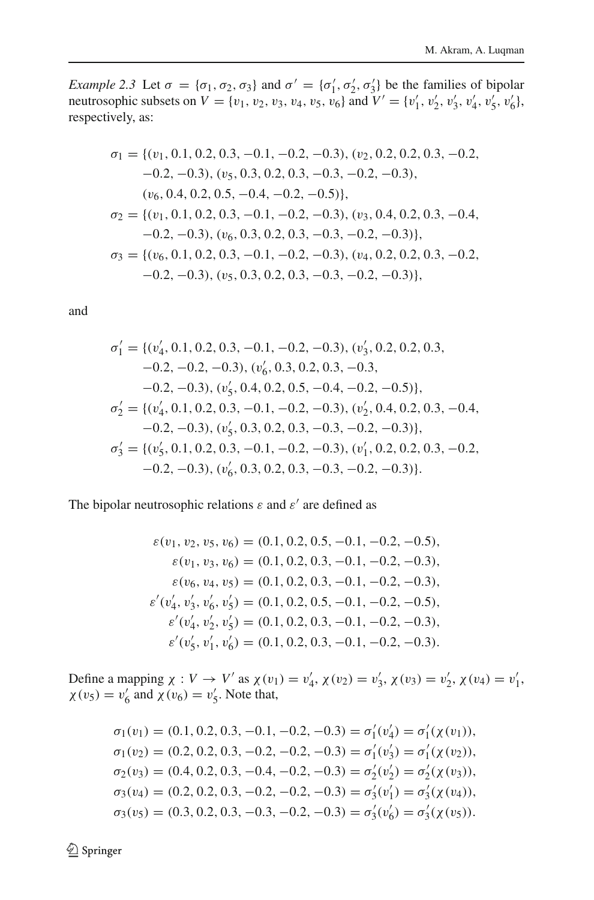*Example 2.3* Let  $\sigma = {\sigma_1, \sigma_2, \sigma_3}$  and  $\sigma' = {\sigma'_1, \sigma'_2, \sigma'_3}$  be the families of bipolar neutrosophic subsets on  $V = \{v_1, v_2, v_3, v_4, v_5, v_6\}$  and  $V' = \{v'_1, v'_2, v'_3, v'_4, v'_5, v'_6\}$ , respectively, as:

$$
\sigma_1 = \{ (v_1, 0.1, 0.2, 0.3, -0.1, -0.2, -0.3), (v_2, 0.2, 0.2, 0.3, -0.2, -0.2, -0.2), (v_5, 0.3, 0.2, 0.3, -0.3, -0.2, -0.3), (v_6, 0.4, 0.2, 0.5, -0.4, -0.2, -0.5) \},\
$$
  
\n
$$
\sigma_2 = \{ (v_1, 0.1, 0.2, 0.3, -0.1, -0.2, -0.3), (v_3, 0.4, 0.2, 0.3, -0.4, -0.2, -0.3), (v_6, 0.3, 0.2, 0.3, -0.3, -0.2, -0.3) \},\
$$
  
\n
$$
\sigma_3 = \{ (v_6, 0.1, 0.2, 0.3, -0.1, -0.2, -0.3), (v_4, 0.2, 0.2, 0.3, -0.2, -0.2, -0.3), (v_5, 0.3, 0.2, 0.3, -0.3, -0.2, -0.3) \},\
$$

and

$$
\sigma'_1 = \{ (v'_4, 0.1, 0.2, 0.3, -0.1, -0.2, -0.3), (v'_3, 0.2, 0.2, 0.3, -0.2, -0.2, -0.3), (v'_6, 0.3, 0.2, 0.3, -0.3, -0.2, -0.3), (v'_5, 0.4, 0.2, 0.5, -0.4, -0.2, -0.5) \},
$$
  
\n
$$
\sigma'_2 = \{ (v'_4, 0.1, 0.2, 0.3, -0.1, -0.2, -0.3), (v'_2, 0.4, 0.2, 0.3, -0.4, -0.2, -0.3), (v'_5, 0.3, 0.2, 0.3, -0.3, -0.2, -0.3) \},
$$
  
\n
$$
\sigma'_3 = \{ (v'_5, 0.1, 0.2, 0.3, -0.1, -0.2, -0.3), (v'_1, 0.2, 0.2, 0.3, -0.2, -0.2, -0.3), (v'_6, 0.3, 0.2, 0.3, -0.3, -0.2, -0.3) \}.
$$

The bipolar neutrosophic relations  $\varepsilon$  and  $\varepsilon'$  are defined as

$$
\varepsilon(v_1, v_2, v_5, v_6) = (0.1, 0.2, 0.5, -0.1, -0.2, -0.5),
$$
  
\n
$$
\varepsilon(v_1, v_3, v_6) = (0.1, 0.2, 0.3, -0.1, -0.2, -0.3),
$$
  
\n
$$
\varepsilon(v_6, v_4, v_5) = (0.1, 0.2, 0.3, -0.1, -0.2, -0.3),
$$
  
\n
$$
\varepsilon'(v'_4, v'_3, v'_6, v'_5) = (0.1, 0.2, 0.5, -0.1, -0.2, -0.5),
$$
  
\n
$$
\varepsilon'(v'_4, v'_2, v'_5) = (0.1, 0.2, 0.3, -0.1, -0.2, -0.3),
$$
  
\n
$$
\varepsilon'(v'_5, v'_1, v'_6) = (0.1, 0.2, 0.3, -0.1, -0.2, -0.3).
$$

Define a mapping  $\chi : V \to V'$  as  $\chi(v_1) = v'_4$ ,  $\chi(v_2) = v'_3$ ,  $\chi(v_3) = v'_2$ ,  $\chi(v_4) = v'_1$ ,  $\chi(v_5) = v'_6$  and  $\chi(v_6) = v'_5$ . Note that,

$$
\sigma_1(v_1) = (0.1, 0.2, 0.3, -0.1, -0.2, -0.3) = \sigma'_1(v'_4) = \sigma'_1(\chi(v_1)),
$$
  
\n
$$
\sigma_1(v_2) = (0.2, 0.2, 0.3, -0.2, -0.2, -0.3) = \sigma'_1(v'_3) = \sigma'_1(\chi(v_2)),
$$
  
\n
$$
\sigma_2(v_3) = (0.4, 0.2, 0.3, -0.4, -0.2, -0.3) = \sigma'_2(v'_2) = \sigma'_2(\chi(v_3)),
$$
  
\n
$$
\sigma_3(v_4) = (0.2, 0.2, 0.3, -0.2, -0.2, -0.3) = \sigma'_3(v'_1) = \sigma'_3(\chi(v_4)),
$$
  
\n
$$
\sigma_3(v_5) = (0.3, 0.2, 0.3, -0.3, -0.2, -0.3) = \sigma'_3(v'_6) = \sigma'_3(\chi(v_5)).
$$

<sup>2</sup> Springer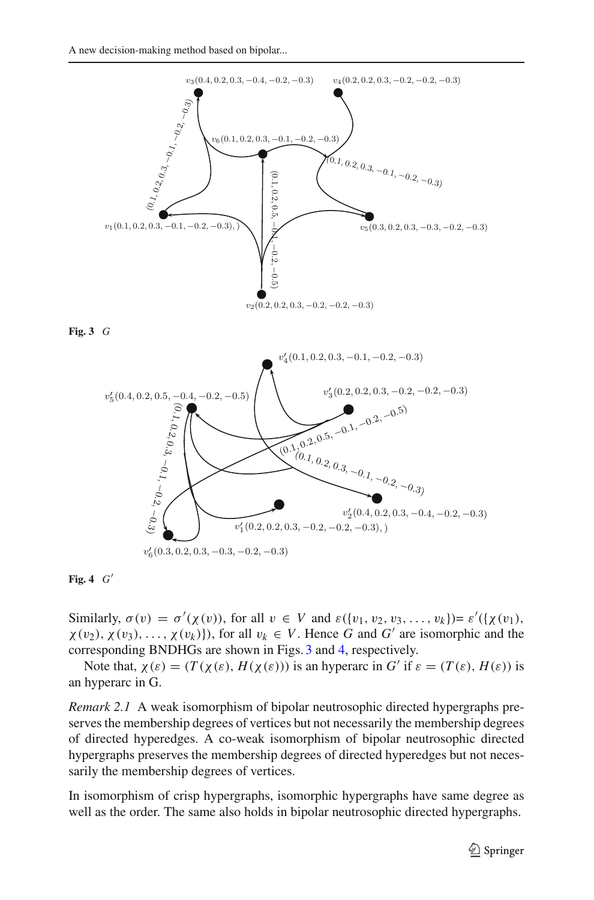

**Fig. 3** *G*

<span id="page-10-0"></span>

<span id="page-10-1"></span>**Fig. 4** *G*

Similarly,  $\sigma(v) = \sigma'(\chi(v))$ , for all  $v \in V$  and  $\varepsilon({v_1, v_2, v_3, ..., v_k}) = \varepsilon'({\chi(v_1), \chi(v_2, v_3, ..., v_k)})$  $\chi(v_2), \chi(v_3), \ldots, \chi(v_k)$ , for all  $v_k \in V$ . Hence *G* and *G'* are isomorphic and the corresponding BNDHGs are shown in Figs. [3](#page-10-0) and [4,](#page-10-1) respectively.

Note that,  $\chi(\varepsilon) = (T(\chi(\varepsilon), H(\chi(\varepsilon)))$  is an hyperarc in G' if  $\varepsilon = (T(\varepsilon), H(\varepsilon))$  is an hyperarc in G.

*Remark 2.1* A weak isomorphism of bipolar neutrosophic directed hypergraphs preserves the membership degrees of vertices but not necessarily the membership degrees of directed hyperedges. A co-weak isomorphism of bipolar neutrosophic directed hypergraphs preserves the membership degrees of directed hyperedges but not necessarily the membership degrees of vertices.

In isomorphism of crisp hypergraphs, isomorphic hypergraphs have same degree as well as the order. The same also holds in bipolar neutrosophic directed hypergraphs.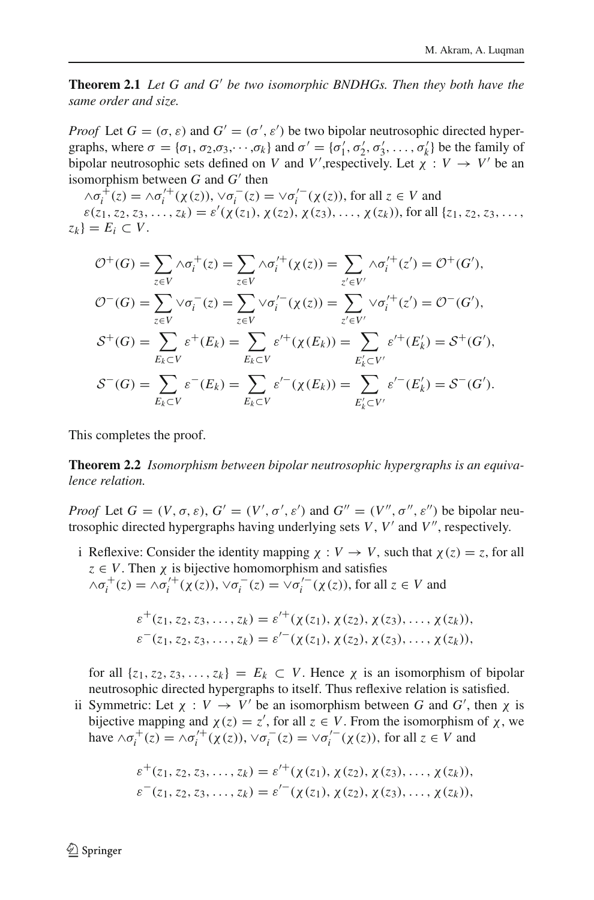**Theorem 2.1** *Let G and G' be two isomorphic BNDHGs. Then they both have the same order and size.*

*Proof* Let  $G = (\sigma, \varepsilon)$  and  $G' = (\sigma', \varepsilon')$  be two bipolar neutrosophic directed hypergraphs, where  $\sigma = {\sigma_1, \sigma_2, \sigma_3, \cdots, \sigma_k}$  and  $\sigma' = {\sigma'_1, \sigma'_2, \sigma'_3, \ldots, \sigma'_k}$  be the family of bipolar neutrosophic sets defined on *V* and *V*', respectively. Let  $\chi : V \to V'$  be an isomorphism between  $G$  and  $G'$  then

 $\wedge \sigma_i^+(z) = \wedge \sigma_i'^+(x(z)), \vee \sigma_i^-(z) = \vee \sigma_i'^-(x(z)),$  for all  $z \in V$  and  $\varepsilon(z_1, z_2, z_3, \ldots, z_k) = \varepsilon'(\chi(z_1), \chi(z_2), \chi(z_3), \ldots, \chi(z_k))$ , for all  $\{z_1, z_2, z_3, \ldots, z_k\}$  $z_k$ } =  $E_i \subset V$ .

$$
\mathcal{O}^+(G) = \sum_{z \in V} \wedge \sigma_i^+(z) = \sum_{z \in V} \wedge \sigma_i'^+(x(z)) = \sum_{z' \in V'} \wedge \sigma_i'^+(z') = \mathcal{O}^+(G'),
$$
  

$$
\mathcal{O}^-(G) = \sum_{z \in V} \vee \sigma_i^-(z) = \sum_{z \in V} \vee \sigma_i'^-(x(z)) = \sum_{z' \in V'} \vee \sigma_i'^+(z') = \mathcal{O}^-(G'),
$$
  

$$
\mathcal{S}^+(G) = \sum_{E_k \subset V} \varepsilon^+(E_k) = \sum_{E_k \subset V} \varepsilon'^+(x(E_k)) = \sum_{E'_k \subset V'} \varepsilon'^+(E'_k) = \mathcal{S}^+(G'),
$$
  

$$
\mathcal{S}^-(G) = \sum_{E_k \subset V} \varepsilon^-(E_k) = \sum_{E_k \subset V} \varepsilon'^-(x(E_k)) = \sum_{E'_k \subset V'} \varepsilon'^-(E'_k) = \mathcal{S}^-(G').
$$

This completes the proof.

**Theorem 2.2** *Isomorphism between bipolar neutrosophic hypergraphs is an equivalence relation.*

*Proof* Let  $G = (V, \sigma, \varepsilon), G' = (V', \sigma', \varepsilon')$  and  $G'' = (V'', \sigma'', \varepsilon'')$  be bipolar neutrosophic directed hypergraphs having underlying sets  $V$ ,  $V'$  and  $V''$ , respectively.

i Reflexive: Consider the identity mapping  $\chi : V \to V$ , such that  $\chi(z) = z$ , for all  $z \in V$ . Then  $\chi$  is bijective homomorphism and satisfies  $\wedge \sigma_i^+(z) = \wedge \sigma_i^{\prime +}( \chi(z)), \vee \sigma_i^-(z) = \vee \sigma_i^{\prime -}( \chi(z)),$  for all  $z \in V$  and

$$
\varepsilon^+(z_1, z_2, z_3, \ldots, z_k) = \varepsilon'^+( \chi(z_1), \chi(z_2), \chi(z_3), \ldots, \chi(z_k)),
$$
  

$$
\varepsilon^-(z_1, z_2, z_3, \ldots, z_k) = \varepsilon'^-( \chi(z_1), \chi(z_2), \chi(z_3), \ldots, \chi(z_k)),
$$

for all  $\{z_1, z_2, z_3, \ldots, z_k\} = E_k \subset V$ . Hence  $\chi$  is an isomorphism of bipolar neutrosophic directed hypergraphs to itself. Thus reflexive relation is satisfied.

ii Symmetric: Let  $\chi : V \to V'$  be an isomorphism between *G* and *G'*, then  $\chi$  is bijective mapping and  $\chi(z) = z'$ , for all  $z \in V$ . From the isomorphism of  $\chi$ , we have  $\wedge \sigma_i^+(z) = \wedge \sigma_i^{'+}(\chi(z)), \vee \sigma_i^-(z) = \vee \sigma_i^{'-}(\chi(z)),$  for all  $z \in V$  and

$$
\varepsilon^+(z_1, z_2, z_3, \ldots, z_k) = \varepsilon'^+(\chi(z_1), \chi(z_2), \chi(z_3), \ldots, \chi(z_k)),
$$
  

$$
\varepsilon^-(z_1, z_2, z_3, \ldots, z_k) = \varepsilon'^-(\chi(z_1), \chi(z_2), \chi(z_3), \ldots, \chi(z_k)),
$$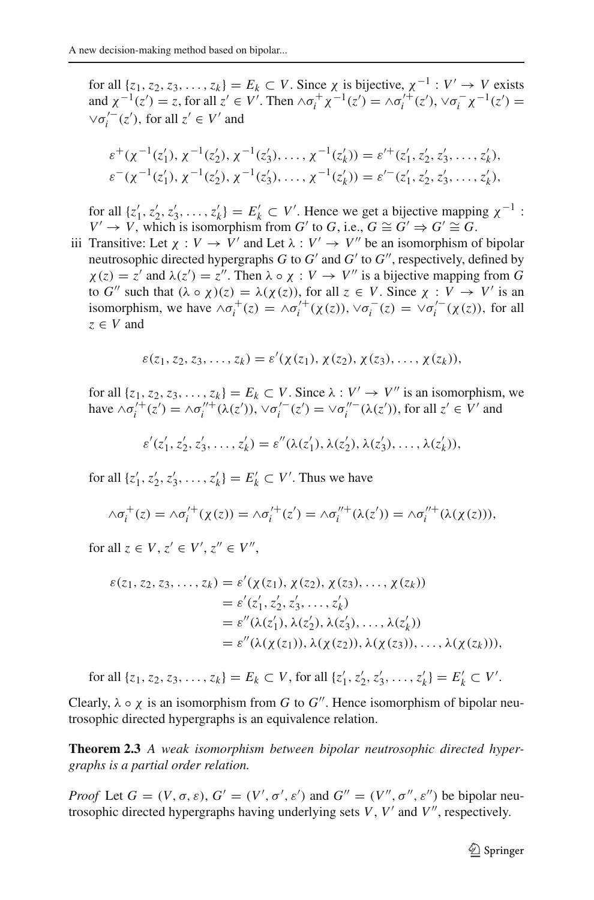for all  $\{z_1, z_2, z_3, \ldots, z_k\} = E_k \subset V$ . Since  $\chi$  is bijective,  $\chi^{-1}: V' \to V$  exists and  $\chi^{-1}(z') = z$ , for all  $z' \in V'$ . Then  $\wedge \sigma_i^+ \chi^{-1}(z') = \wedge \sigma_i'^+(z'), \vee \sigma_i^- \chi^{-1}(z') =$  $\vee \sigma_i^{'}(z'),$  for all  $z' \in V'$  and

$$
\varepsilon^+(\chi^{-1}(z'_1), \chi^{-1}(z'_2), \chi^{-1}(z'_3), \dots, \chi^{-1}(z'_k)) = \varepsilon'^+(z'_1, z'_2, z'_3, \dots, z'_k),
$$
  

$$
\varepsilon^-(\chi^{-1}(z'_1), \chi^{-1}(z'_2), \chi^{-1}(z'_3), \dots, \chi^{-1}(z'_k)) = \varepsilon'^-(z'_1, z'_2, z'_3, \dots, z'_k),
$$

for all  $\{z_1', z_2', z_3', \ldots, z_k'\} = E'_k \subset V'$ . Hence we get a bijective mapping  $\chi^{-1}$ : *V* → *V*, which is isomorphism from *G'* to *G*, i.e.,  $G \cong G' \Rightarrow G' \cong G$ .

iii Transitive: Let  $\chi : V \to V'$  and Let  $\lambda : V' \to V''$  be an isomorphism of bipolar neutrosophic directed hypergraphs *G* to  $G'$  and  $G'$  to  $G''$ , respectively, defined by  $\chi(z) = z'$  and  $\lambda(z') = z''$ . Then  $\lambda \circ \chi : V \to V''$  is a bijective mapping from *G* to *G*<sup>"</sup> such that  $(\lambda \circ \chi)(z) = \lambda(\chi(z))$ , for all  $z \in V$ . Since  $\chi : V \to V'$  is an isomorphism, we have  $\wedge \sigma_i^+(z) = \wedge \sigma_i^{\prime +}(x(z))$ ,  $\vee \sigma_i^-(z) = \vee \sigma_i^{\prime -}(x(z))$ , for all  $z \in V$  and

$$
\varepsilon(z_1,z_2,z_3,\ldots,z_k)=\varepsilon'(\chi(z_1),\chi(z_2),\chi(z_3),\ldots,\chi(z_k)),
$$

for all  $\{z_1, z_2, z_3, \ldots, z_k\} = E_k \subset V$ . Since  $\lambda : V' \to V''$  is an isomorphism, we have  $\wedge \sigma_i^{\prime +}(z') = \wedge \sigma_i^{\prime\prime +}(\lambda(z'))$ ,  $\vee \sigma_i^{\prime -}(z') = \vee \sigma_i^{\prime\prime -}(\lambda(z'))$ , for all  $z' \in V'$  and

$$
\varepsilon'(z'_1, z'_2, z'_3, \ldots, z'_k) = \varepsilon''(\lambda(z'_1), \lambda(z'_2), \lambda(z'_3), \ldots, \lambda(z'_k)),
$$

for all  $\{z_1', z_2', z_3', \ldots, z_k'\} = E'_k \subset V'.$  Thus we have

$$
\wedge \sigma_i^+(z) = \wedge \sigma_i'^+( \chi(z)) = \wedge \sigma_i'^+(z') = \wedge \sigma_i''^+ (\lambda(z')) = \wedge \sigma_i''^+ (\lambda(\chi(z))),
$$

for all  $z \in V$ ,  $z' \in V'$ ,  $z'' \in V''$ ,

$$
\varepsilon(z_1, z_2, z_3, \dots, z_k) = \varepsilon'(\chi(z_1), \chi(z_2), \chi(z_3), \dots, \chi(z_k))
$$
  
\n
$$
= \varepsilon'(z'_1, z'_2, z'_3, \dots, z'_k)
$$
  
\n
$$
= \varepsilon''(\lambda(z'_1), \lambda(z'_2), \lambda(z'_3), \dots, \lambda(z'_k))
$$
  
\n
$$
= \varepsilon''(\lambda(\chi(z_1)), \lambda(\chi(z_2)), \lambda(\chi(z_3)), \dots, \lambda(\chi(z_k))),
$$

for all  $\{z_1, z_2, z_3, \ldots, z_k\} = E_k \subset V$ , for all  $\{z'_1, z'_2, z'_3, \ldots, z'_k\} = E'_k \subset V'$ .

Clearly,  $\lambda \circ \chi$  is an isomorphism from *G* to *G*<sup>"</sup>. Hence isomorphism of bipolar neutrosophic directed hypergraphs is an equivalence relation.

**Theorem 2.3** *A weak isomorphism between bipolar neutrosophic directed hypergraphs is a partial order relation.*

*Proof* Let  $G = (V, \sigma, \varepsilon), G' = (V', \sigma', \varepsilon')$  and  $G'' = (V'', \sigma'', \varepsilon'')$  be bipolar neutrosophic directed hypergraphs having underlying sets  $V$ ,  $V'$  and  $V''$ , respectively.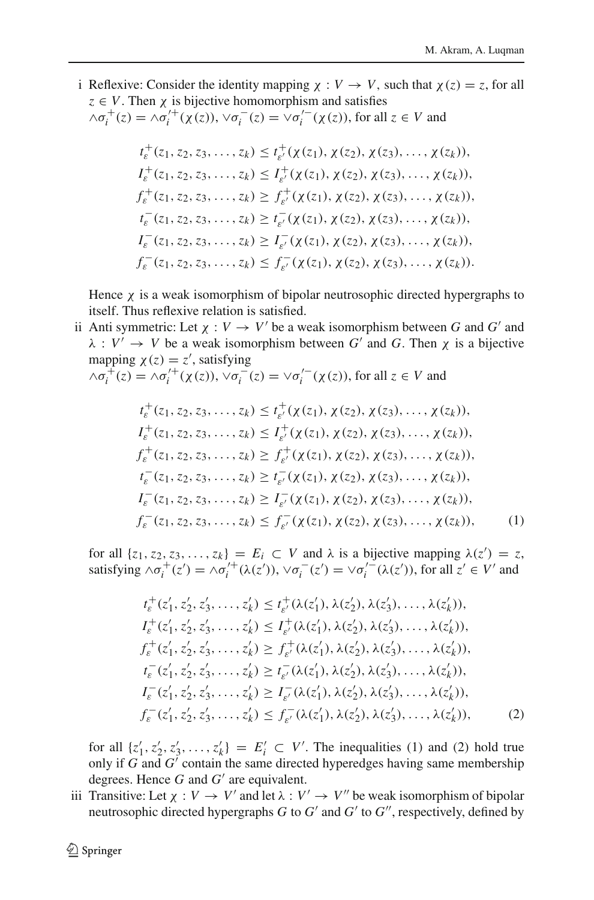i Reflexive: Consider the identity mapping  $\chi : V \to V$ , such that  $\chi(z) = z$ , for all  $z \in V$ . Then  $\chi$  is bijective homomorphism and satisfies

$$
\wedge \sigma_i^+(z) = \wedge \sigma_i'^+( \chi(z)), \vee \sigma_i^-(z) = \vee \sigma_i'^-( \chi(z)), \text{ for all } z \in V \text{ and }
$$

$$
t_{\varepsilon}^{+}(z_{1}, z_{2}, z_{3}, \ldots, z_{k}) \leq t_{\varepsilon'}^{+}(\chi(z_{1}), \chi(z_{2}), \chi(z_{3}), \ldots, \chi(z_{k})),
$$
  
\n
$$
I_{\varepsilon}^{+}(z_{1}, z_{2}, z_{3}, \ldots, z_{k}) \leq I_{\varepsilon'}^{+}(\chi(z_{1}), \chi(z_{2}), \chi(z_{3}), \ldots, \chi(z_{k})),
$$
  
\n
$$
f_{\varepsilon}^{+}(z_{1}, z_{2}, z_{3}, \ldots, z_{k}) \geq f_{\varepsilon'}^{+}(\chi(z_{1}), \chi(z_{2}), \chi(z_{3}), \ldots, \chi(z_{k})),
$$
  
\n
$$
t_{\varepsilon}^{-}(z_{1}, z_{2}, z_{3}, \ldots, z_{k}) \geq t_{\varepsilon'}^{-}(\chi(z_{1}), \chi(z_{2}), \chi(z_{3}), \ldots, \chi(z_{k})),
$$
  
\n
$$
I_{\varepsilon}^{-}(z_{1}, z_{2}, z_{3}, \ldots, z_{k}) \geq I_{\varepsilon'}^{-}(\chi(z_{1}), \chi(z_{2}), \chi(z_{3}), \ldots, \chi(z_{k})),
$$
  
\n
$$
f_{\varepsilon}^{-}(z_{1}, z_{2}, z_{3}, \ldots, z_{k}) \leq f_{\varepsilon'}^{-}(\chi(z_{1}), \chi(z_{2}), \chi(z_{3}), \ldots, \chi(z_{k})).
$$

Hence  $\chi$  is a weak isomorphism of bipolar neutrosophic directed hypergraphs to itself. Thus reflexive relation is satisfied.

ii Anti symmetric: Let  $\chi : V \to V'$  be a weak isomorphism between *G* and *G'* and  $\lambda : V' \to V$  be a weak isomorphism between G' and G. Then  $\chi$  is a bijective mapping  $\chi(z) = z'$ , satisfying

$$
\wedge \sigma_i^+(z) = \wedge \sigma_i'^+( \chi(z)), \vee \sigma_i^-(z) = \vee \sigma_i'^-( \chi(z)), \text{ for all } z \in V \text{ and }
$$

$$
t_{\varepsilon}^{+}(z_{1}, z_{2}, z_{3}, \ldots, z_{k}) \leq t_{\varepsilon'}^{+}(\chi(z_{1}), \chi(z_{2}), \chi(z_{3}), \ldots, \chi(z_{k})),
$$
  
\n
$$
I_{\varepsilon}^{+}(z_{1}, z_{2}, z_{3}, \ldots, z_{k}) \leq I_{\varepsilon'}^{+}(\chi(z_{1}), \chi(z_{2}), \chi(z_{3}), \ldots, \chi(z_{k})),
$$
  
\n
$$
f_{\varepsilon}^{+}(z_{1}, z_{2}, z_{3}, \ldots, z_{k}) \geq f_{\varepsilon'}^{+}(\chi(z_{1}), \chi(z_{2}), \chi(z_{3}), \ldots, \chi(z_{k})),
$$
  
\n
$$
t_{\varepsilon}^{-}(z_{1}, z_{2}, z_{3}, \ldots, z_{k}) \geq t_{\varepsilon'}^{-}(\chi(z_{1}), \chi(z_{2}), \chi(z_{3}), \ldots, \chi(z_{k})),
$$
  
\n
$$
I_{\varepsilon}^{-}(z_{1}, z_{2}, z_{3}, \ldots, z_{k}) \geq I_{\varepsilon'}^{-}(\chi(z_{1}), \chi(z_{2}), \chi(z_{3}), \ldots, \chi(z_{k})),
$$
  
\n
$$
f_{\varepsilon}^{-}(z_{1}, z_{2}, z_{3}, \ldots, z_{k}) \leq f_{\varepsilon'}^{-}(\chi(z_{1}), \chi(z_{2}), \chi(z_{3}), \ldots, \chi(z_{k})),
$$
  
\n(1)

for all  $\{z_1, z_2, z_3, \ldots, z_k\} = E_i \subset V$  and  $\lambda$  is a bijective mapping  $\lambda(z') = z$ , satisfying  $\wedge \sigma_i^+(z') = \wedge \sigma_i^{\prime +}(\lambda(z'))$ ,  $\vee \sigma_i^-(z') = \vee \sigma_i^{\prime -}(\lambda(z'))$ , for all  $z' \in V'$  and

$$
t_{\varepsilon}^{+}(z_{1}', z_{2}', z_{3}', \ldots, z_{k}') \leq t_{\varepsilon'}^{+}(\lambda(z_{1}'), \lambda(z_{2}'), \lambda(z_{3}'), \ldots, \lambda(z_{k}')),
$$
  
\n
$$
I_{\varepsilon}^{+}(z_{1}', z_{2}', z_{3}', \ldots, z_{k}') \leq I_{\varepsilon'}^{+}(\lambda(z_{1}'), \lambda(z_{2}'), \lambda(z_{3}'), \ldots, \lambda(z_{k}')),
$$
  
\n
$$
f_{\varepsilon}^{+}(z_{1}', z_{2}', z_{3}', \ldots, z_{k}') \geq f_{\varepsilon'}^{+}(\lambda(z_{1}'), \lambda(z_{2}'), \lambda(z_{3}'), \ldots, \lambda(z_{k}')),
$$
  
\n
$$
t_{\varepsilon}^{-}(z_{1}', z_{2}', z_{3}', \ldots, z_{k}') \geq t_{\varepsilon'}^{-}(\lambda(z_{1}'), \lambda(z_{2}'), \lambda(z_{3}'), \ldots, \lambda(z_{k}')),
$$
  
\n
$$
I_{\varepsilon}^{-}(z_{1}', z_{2}', z_{3}', \ldots, z_{k}') \geq I_{\varepsilon'}^{-}(\lambda(z_{1}'), \lambda(z_{2}'), \lambda(z_{3}'), \ldots, \lambda(z_{k}')),
$$
  
\n
$$
f_{\varepsilon}^{-}(z_{1}', z_{2}', z_{3}', \ldots, z_{k}') \leq f_{\varepsilon'}^{-}(\lambda(z_{1}'), \lambda(z_{2}'), \lambda(z_{3}'), \ldots, \lambda(z_{k}')),
$$
  
\n(2)

for all  $\{z'_1, z'_2, z'_3, \ldots, z'_k\} = E'_i \subset V'$ . The inequalities (1) and (2) hold true only if  $G$  and  $G'$  contain the same directed hyperedges having same membership degrees. Hence  $G$  and  $G'$  are equivalent.

iii Transitive: Let  $\chi : V \to V'$  and let  $\lambda : V' \to V''$  be weak isomorphism of bipolar neutrosophic directed hypergraphs  $G$  to  $G'$  and  $G'$  to  $G''$ , respectively, defined by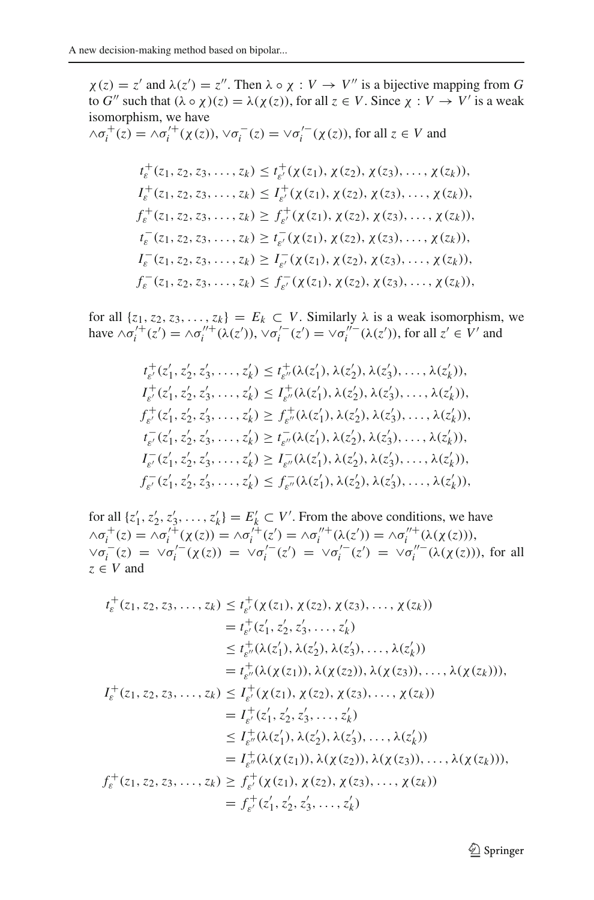$\chi(z) = z'$  and  $\lambda(z') = z''$ . Then  $\lambda \circ \chi : V \to V''$  is a bijective mapping from *G* to *G*'' such that  $(\lambda \circ \chi)(z) = \lambda(\chi(z))$ , for all  $z \in V$ . Since  $\chi : V \to V'$  is a weak isomorphism, we have  $\wedge \sigma_i^+(z) = \wedge \sigma_i'^+(x(z)), \vee \sigma_i^-(z) = \vee \sigma_i'^-(x(z)),$  for all  $z \in V$  and  $t_{\varepsilon}^+(z_1, z_2, z_3, \ldots, z_k) \leq t_{\varepsilon'}^+( \chi(z_1), \chi(z_2), \chi(z_3), \ldots, \chi(z_k)),$  $I_{\varepsilon}^+(z_1, z_2, z_3, \ldots, z_k) \leq I_{\varepsilon'}^+(\chi(z_1), \chi(z_2), \chi(z_3), \ldots, \chi(z_k)),$  $f_{\varepsilon}^{+}(z_1, z_2, z_3, \ldots, z_k) \geq f_{\varepsilon'}^{+}(\chi(z_1), \chi(z_2), \chi(z_3), \ldots, \chi(z_k)),$  $t_{\varepsilon}^-(z_1, z_2, z_3, \ldots, z_k) \ge t_{\varepsilon'}^-(\chi(z_1), \chi(z_2), \chi(z_3), \ldots, \chi(z_k)),$  $I_{\varepsilon}^-(z_1, z_2, z_3, \ldots, z_k) \geq I_{\varepsilon'}^-(\chi(z_1), \chi(z_2), \chi(z_3), \ldots, \chi(z_k)),$  $f_{\varepsilon}^-(z_1, z_2, z_3, \ldots, z_k) \leq f_{\varepsilon'}^-(\chi(z_1), \chi(z_2), \chi(z_3), \ldots, \chi(z_k)),$ 

for all  $\{z_1, z_2, z_3, \ldots, z_k\} = E_k \subset V$ . Similarly  $\lambda$  is a weak isomorphism, we have  $\wedge \sigma_i^{\prime +}(z') = \wedge \sigma_i^{\prime\prime +}(\lambda(z'))$ ,  $\vee \sigma_i^{\prime -}(z') = \vee \sigma_i^{\prime\prime -}(\lambda(z'))$ , for all  $z' \in V'$  and

$$
t_{\varepsilon'}^+(z'_1, z'_2, z'_3, \ldots, z'_k) \leq t_{\varepsilon''}^+(\lambda(z'_1), \lambda(z'_2), \lambda(z'_3), \ldots, \lambda(z'_k)),
$$
  
\n
$$
I_{\varepsilon'}^+(z'_1, z'_2, z'_3, \ldots, z'_k) \leq I_{\varepsilon''}^+(\lambda(z'_1), \lambda(z'_2), \lambda(z'_3), \ldots, \lambda(z'_k)),
$$
  
\n
$$
f_{\varepsilon'}^+(z'_1, z'_2, z'_3, \ldots, z'_k) \geq f_{\varepsilon''}^+(\lambda(z'_1), \lambda(z'_2), \lambda(z'_3), \ldots, \lambda(z'_k)),
$$
  
\n
$$
t_{\varepsilon'}^-(z'_1, z'_2, z'_3, \ldots, z'_k) \geq t_{\varepsilon''}^-(\lambda(z'_1), \lambda(z'_2), \lambda(z'_3), \ldots, \lambda(z'_k)),
$$
  
\n
$$
I_{\varepsilon'}^-(z'_1, z'_2, z'_3, \ldots, z'_k) \geq I_{\varepsilon''}^-(\lambda(z'_1), \lambda(z'_2), \lambda(z'_3), \ldots, \lambda(z'_k)),
$$
  
\n
$$
f_{\varepsilon'}^-(z'_1, z'_2, z'_3, \ldots, z'_k) \leq f_{\varepsilon''}^-(\lambda(z'_1), \lambda(z'_2), \lambda(z'_3), \ldots, \lambda(z'_k)),
$$

for all  $\{z'_1, z'_2, z'_3, \ldots, z'_k\} = E'_k \subset V'$ . From the above conditions, we have  $\wedge \sigma_i^+(z) = \wedge \sigma_i'^+(x(z)) = \wedge \sigma_i'^+(z') = \wedge \sigma_i''^+(x(z')) = \wedge \sigma_i''^+(x(x(z))),$  $\forall \sigma_i^{-1}(z) = \forall \sigma_i^{-1}(\chi(z)) = \forall \sigma_i^{-1}(z') = \forall \sigma_i^{-1}(z') = \forall \sigma_i^{-1}(\lambda(\chi(z))),$  for all  $z \in V$  and

$$
t_{\varepsilon}^{+}(z_{1}, z_{2}, z_{3}, \ldots, z_{k}) \leq t_{\varepsilon}^{+}(\chi(z_{1}), \chi(z_{2}), \chi(z_{3}), \ldots, \chi(z_{k}))
$$
  
\n
$$
= t_{\varepsilon'}^{+}(z'_{1}, z'_{2}, z'_{3}, \ldots, z'_{k})
$$
  
\n
$$
\leq t_{\varepsilon''}^{+}(\lambda(z'_{1}), \lambda(z'_{2}), \lambda(z'_{3}), \ldots, \lambda(z'_{k}))
$$
  
\n
$$
= t_{\varepsilon''}^{+}(\lambda(\chi(z_{1})), \lambda(\chi(z_{2})), \lambda(\chi(z_{3})), \ldots, \lambda(\chi(z_{k}))),
$$
  
\n
$$
I_{\varepsilon}^{+}(z_{1}, z_{2}, z_{3}, \ldots, z_{k}) \leq I_{\varepsilon'}^{+}(\chi(z_{1}), \chi(z_{2}), \chi(z_{3}), \ldots, \chi(z_{k}))
$$
  
\n
$$
= I_{\varepsilon'}^{+}(\chi'(z'_{1}), \lambda(z'_{2}), \lambda(z'_{3}), \ldots, \lambda(z'_{k}))
$$
  
\n
$$
= I_{\varepsilon''}^{+}(\lambda(\chi(z_{1})), \lambda(\chi(z_{2})), \lambda(\chi(z_{3})), \ldots, \lambda(\chi(z_{k}))),
$$
  
\n
$$
f_{\varepsilon}^{+}(z_{1}, z_{2}, z_{3}, \ldots, z_{k}) \geq f_{\varepsilon'}^{+}(\chi(z_{1}), \chi(z_{2}), \chi(z_{3}), \ldots, \chi(z_{k}))
$$
  
\n
$$
= f_{\varepsilon'}^{+}(z'_{1}, z'_{2}, z'_{3}, \ldots, z'_{k})
$$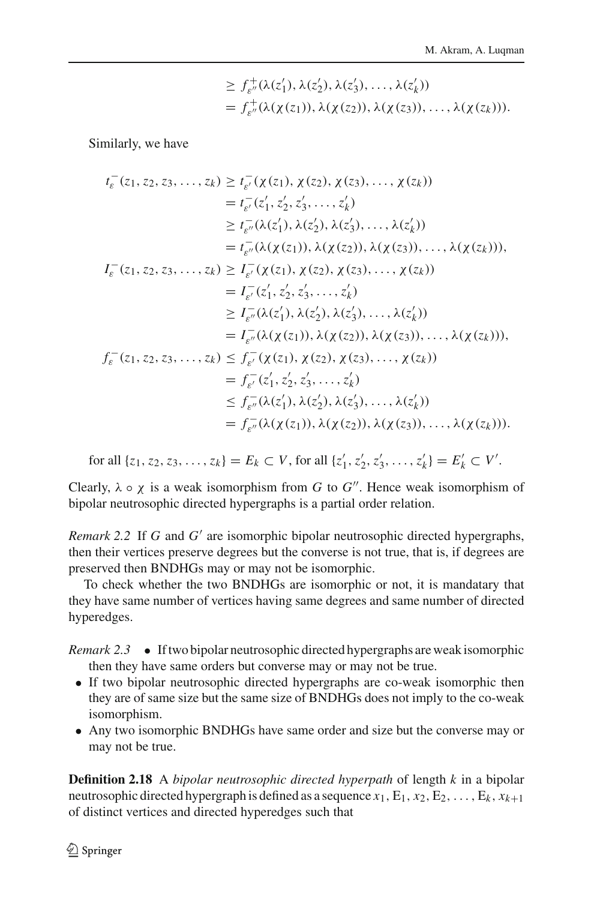$$
\geq f_{\varepsilon''}^+(\lambda(z_1'), \lambda(z_2'), \lambda(z_3'), \ldots, \lambda(z_k'))
$$
  
=  $f_{\varepsilon''}^+(\lambda(\chi(z_1)), \lambda(\chi(z_2)), \lambda(\chi(z_3)), \ldots, \lambda(\chi(z_k))).$ 

Similarly, we have

$$
t_{\varepsilon}^{-}(z_{1}, z_{2}, z_{3},..., z_{k}) \geq t_{\varepsilon'}^{-}( \chi(z_{1}), \chi(z_{2}), \chi(z_{3}),..., \chi(z_{k}))
$$
  
\n
$$
= t_{\varepsilon'}^{-}(z'_{1}, z'_{2}, z'_{3},..., z'_{k})
$$
  
\n
$$
\geq t_{\varepsilon''}^{-}(\lambda(z'_{1}), \lambda(z'_{2}), \lambda(z'_{3}),..., \lambda(z'_{k}))
$$
  
\n
$$
= t_{\varepsilon''}^{-}(\lambda(\chi(z_{1})), \lambda(\chi(z_{2})), \lambda(\chi(z_{3})),..., \lambda(\chi(z_{k}))),
$$
  
\n
$$
I_{\varepsilon}^{-}(z_{1}, z_{2}, z_{3},..., z_{k}) \geq I_{\varepsilon'}^{-}(\chi(z_{1}), \chi(z_{2}), \chi(z_{3}),..., \chi(z_{k}))
$$
  
\n
$$
= I_{\varepsilon'}^{-}(z'_{1}, z'_{2}, z'_{3},..., z'_{k})
$$
  
\n
$$
\geq I_{\varepsilon''}^{-}(\lambda(z'_{1}), \lambda(z'_{2}), \lambda(z'_{3}),..., \lambda(z'_{k}))
$$
  
\n
$$
= I_{\varepsilon''}^{-}(\lambda(\chi(z_{1})), \lambda(\chi(z_{2})), \lambda(\chi(z_{3})),..., \lambda(\chi(z_{k}))),
$$
  
\n
$$
f_{\varepsilon}^{-}(z_{1}, z_{2}, z_{3},..., z_{k}) \leq f_{\varepsilon'}^{-}(\chi(z_{1}), \chi(z_{2}), \chi(z_{3}),..., \chi(z_{k}))
$$
  
\n
$$
= f_{\varepsilon''}^{-}(\lambda(z'_{1}), \lambda(z'_{2}), \lambda(z'_{3}),..., \lambda(z'_{k}))
$$
  
\n
$$
= f_{\varepsilon''}^{-}(\lambda(\chi(z_{1})), \lambda(\chi(z_{2})), \lambda(\chi(z_{3})),..., \lambda(\chi(z_{k}))).
$$

for all  $\{z_1, z_2, z_3, \ldots, z_k\} = E_k \subset V$ , for all  $\{z'_1, z'_2, z'_3, \ldots, z'_k\} = E'_k \subset V'$ .

Clearly,  $\lambda \circ \chi$  is a weak isomorphism from *G* to *G*<sup>"</sup>. Hence weak isomorphism of bipolar neutrosophic directed hypergraphs is a partial order relation.

*Remark 2.2* If  $G$  and  $G'$  are isomorphic bipolar neutrosophic directed hypergraphs, then their vertices preserve degrees but the converse is not true, that is, if degrees are preserved then BNDHGs may or may not be isomorphic.

To check whether the two BNDHGs are isomorphic or not, it is mandatary that they have same number of vertices having same degrees and same number of directed hyperedges.

*Remark 2.3* • If two bipolar neutrosophic directed hypergraphs are weak isomorphic then they have same orders but converse may or may not be true.

- If two bipolar neutrosophic directed hypergraphs are co-weak isomorphic then they are of same size but the same size of BNDHGs does not imply to the co-weak isomorphism.
- Any two isomorphic BNDHGs have same order and size but the converse may or may not be true.

**Definition 2.18** A *bipolar neutrosophic directed hyperpath* of length *k* in a bipolar neutrosophic directed hypergraph is defined as a sequence  $x_1$ ,  $E_1$ ,  $x_2$ ,  $E_2$ , ...,  $E_k$ ,  $x_{k+1}$ of distinct vertices and directed hyperedges such that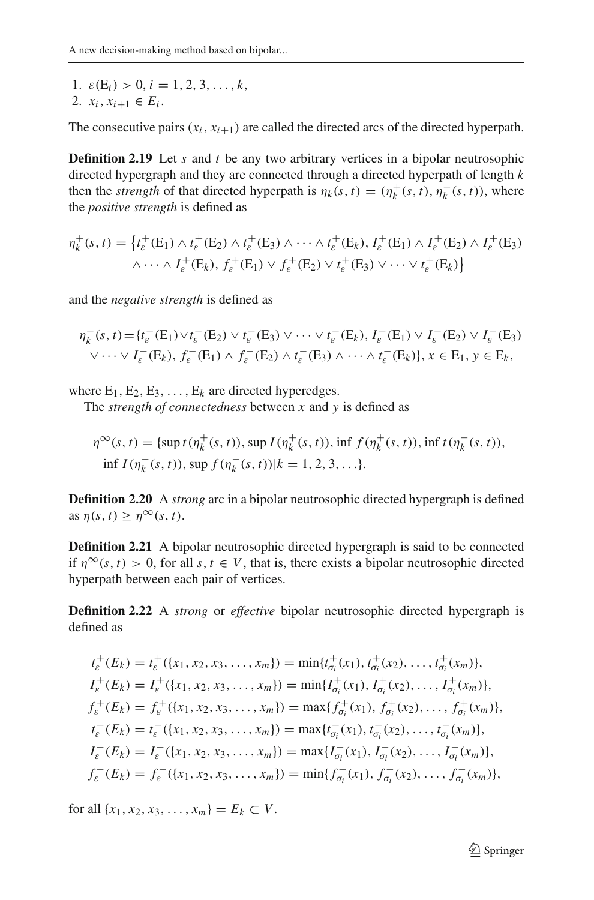1.  $\varepsilon(E_i) > 0, i = 1, 2, 3, \ldots, k$ , 2.  $x_i, x_{i+1} \in E_i$ .

The consecutive pairs  $(x_i, x_{i+1})$  are called the directed arcs of the directed hyperpath.

**Definition 2.19** Let *s* and *t* be any two arbitrary vertices in a bipolar neutrosophic directed hypergraph and they are connected through a directed hyperpath of length *k* then the *strength* of that directed hyperpath is  $\eta_k(s, t) = (\eta_k^+(s, t), \eta_k^-(s, t))$ , where the *positive strength* is defined as

$$
\eta_k^+(s,t) = \left\{ t_\varepsilon^+(E_1) \wedge t_\varepsilon^+(E_2) \wedge t_\varepsilon^+(E_3) \wedge \cdots \wedge t_\varepsilon^+(E_k), \, t_\varepsilon^+(E_1) \wedge t_\varepsilon^+(E_2) \wedge t_\varepsilon^+(E_3) \right\}
$$

$$
\wedge \cdots \wedge t_\varepsilon^+(E_k), \, f_\varepsilon^+(E_1) \vee f_\varepsilon^+(E_2) \vee t_\varepsilon^+(E_3) \vee \cdots \vee t_\varepsilon^+(E_k) \right\}
$$

and the *negative strength* is defined as

$$
\eta_k^-(s,t) = \{t_{\varepsilon}^-(E_1) \vee t_{\varepsilon}^-(E_2) \vee t_{\varepsilon}^-(E_3) \vee \cdots \vee t_{\varepsilon}^-(E_k), \ I_{\varepsilon}^-(E_1) \vee I_{\varepsilon}^-(E_2) \vee I_{\varepsilon}^-(E_3) \vee \cdots \vee I_{\varepsilon}^-(E_k), \ I_{\varepsilon}^-(E_1) \wedge f_{\varepsilon}^-(E_2) \wedge t_{\varepsilon}^-(E_3) \wedge \cdots \wedge t_{\varepsilon}^-(E_k)\}, x \in E_1, y \in E_k,
$$

where  $E_1, E_2, E_3, \ldots, E_k$  are directed hyperedges.

The *strength of connectedness* between *x* and *y* is defined as

$$
\eta^{\infty}(s, t) = \{\sup t(\eta_k^+(s, t)), \sup I(\eta_k^+(s, t)), \inf f(\eta_k^+(s, t)), \inf t(\eta_k^-(s, t)), \inf I(\eta_k^-(s, t)), \sup f(\eta_k^-(s, t))|k = 1, 2, 3, ... \}.
$$

**Definition 2.20** A *strong* arc in a bipolar neutrosophic directed hypergraph is defined as  $\eta(s, t) \geq \eta^{\infty}(s, t)$ .

**Definition 2.21** A bipolar neutrosophic directed hypergraph is said to be connected if  $\eta^{\infty}(s, t) > 0$ , for all  $s, t \in V$ , that is, there exists a bipolar neutrosophic directed hyperpath between each pair of vertices.

**Definition 2.22** A *strong* or *effective* bipolar neutrosophic directed hypergraph is defined as

$$
t_{\varepsilon}^{+}(E_{k}) = t_{\varepsilon}^{+}(\{x_{1}, x_{2}, x_{3}, \ldots, x_{m}\}) = \min\{t_{\sigma_{i}}^{+}(x_{1}), t_{\sigma_{i}}^{+}(x_{2}), \ldots, t_{\sigma_{i}}^{+}(x_{m})\},
$$
  
\n
$$
I_{\varepsilon}^{+}(E_{k}) = I_{\varepsilon}^{+}(\{x_{1}, x_{2}, x_{3}, \ldots, x_{m}\}) = \min\{I_{\sigma_{i}}^{+}(x_{1}), I_{\sigma_{i}}^{+}(x_{2}), \ldots, I_{\sigma_{i}}^{+}(x_{m})\},
$$
  
\n
$$
f_{\varepsilon}^{+}(E_{k}) = f_{\varepsilon}^{+}(\{x_{1}, x_{2}, x_{3}, \ldots, x_{m}\}) = \max\{f_{\sigma_{i}}^{+}(x_{1}), f_{\sigma_{i}}^{+}(x_{2}), \ldots, f_{\sigma_{i}}^{+}(x_{m})\},
$$
  
\n
$$
t_{\varepsilon}^{-}(E_{k}) = t_{\varepsilon}^{-}(\{x_{1}, x_{2}, x_{3}, \ldots, x_{m}\}) = \max\{t_{\sigma_{i}}^{-}(x_{1}), t_{\sigma_{i}}^{-}(x_{2}), \ldots, t_{\sigma_{i}}^{-}(x_{m})\},
$$
  
\n
$$
I_{\varepsilon}^{-}(E_{k}) = I_{\varepsilon}^{-}(\{x_{1}, x_{2}, x_{3}, \ldots, x_{m}\}) = \max\{I_{\sigma_{i}}^{-}(x_{1}), I_{\sigma_{i}}^{-}(x_{2}), \ldots, I_{\sigma_{i}}^{-}(x_{m})\},
$$
  
\n
$$
f_{\varepsilon}^{-}(E_{k}) = f_{\varepsilon}^{-}(\{x_{1}, x_{2}, x_{3}, \ldots, x_{m}\}) = \min\{f_{\sigma_{i}}^{-}(x_{1}), f_{\sigma_{i}}^{-}(x_{2}), \ldots, f_{\sigma_{i}}^{-}(x_{m})\},
$$

for all  $\{x_1, x_2, x_3, \ldots, x_m\} = E_k \subset V$ .

<sup>2</sup> Springer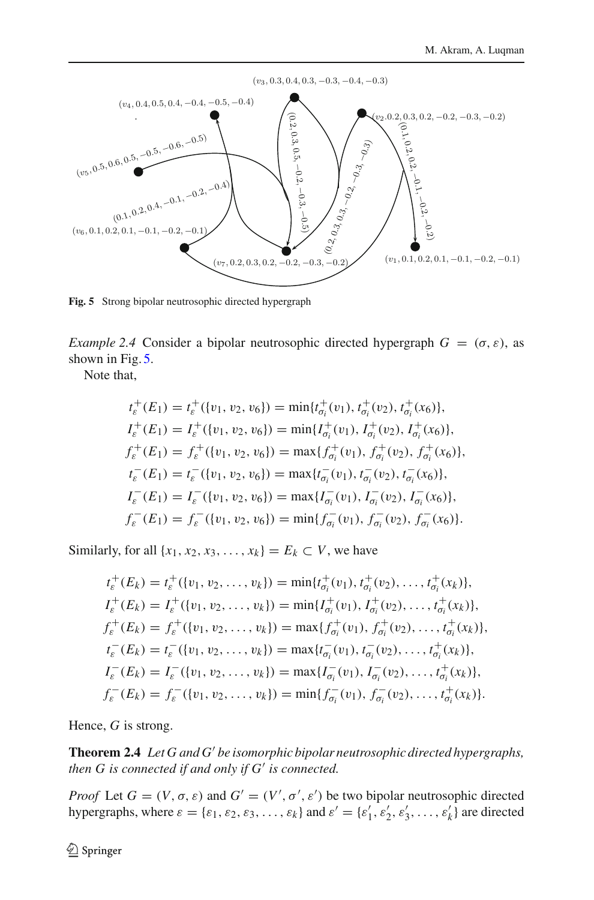

<span id="page-17-0"></span>**Fig. 5** Strong bipolar neutrosophic directed hypergraph

*Example 2.4* Consider a bipolar neutrosophic directed hypergraph  $G = (\sigma, \varepsilon)$ , as shown in Fig. [5.](#page-17-0)

Note that,

$$
t_{\varepsilon}^{+}(E_{1}) = t_{\varepsilon}^{+}(\{v_{1}, v_{2}, v_{6}\}) = \min\{t_{\sigma_{i}}^{+}(v_{1}), t_{\sigma_{i}}^{+}(v_{2}), t_{\sigma_{i}}^{+}(x_{6})\},
$$
  
\n
$$
I_{\varepsilon}^{+}(E_{1}) = I_{\varepsilon}^{+}(\{v_{1}, v_{2}, v_{6}\}) = \min\{I_{\sigma_{i}}^{+}(v_{1}), I_{\sigma_{i}}^{+}(v_{2}), I_{\sigma_{i}}^{+}(x_{6})\},
$$
  
\n
$$
f_{\varepsilon}^{+}(E_{1}) = f_{\varepsilon}^{+}(\{v_{1}, v_{2}, v_{6}\}) = \max\{f_{\sigma_{i}}^{+}(v_{1}), f_{\sigma_{i}}^{+}(v_{2}), f_{\sigma_{i}}^{+}(x_{6})\},
$$
  
\n
$$
t_{\varepsilon}^{-}(E_{1}) = t_{\varepsilon}^{-}(\{v_{1}, v_{2}, v_{6}\}) = \max\{t_{\sigma_{i}}^{-}(v_{1}), t_{\sigma_{i}}^{-}(v_{2}), t_{\sigma_{i}}^{-}(x_{6})\},
$$
  
\n
$$
I_{\varepsilon}^{-}(E_{1}) = I_{\varepsilon}^{-}(\{v_{1}, v_{2}, v_{6}\}) = \max\{I_{\sigma_{i}}^{-}(v_{1}), I_{\sigma_{i}}^{-}(v_{2}), I_{\sigma_{i}}^{-}(x_{6})\},
$$
  
\n
$$
f_{\varepsilon}^{-}(E_{1}) = f_{\varepsilon}^{-}(\{v_{1}, v_{2}, v_{6}\}) = \min\{f_{\sigma_{i}}^{-}(v_{1}), f_{\sigma_{i}}^{-}(v_{2}), f_{\sigma_{i}}^{-}(x_{6})\}.
$$

Similarly, for all  $\{x_1, x_2, x_3, \ldots, x_k\} = E_k \subset V$ , we have

$$
t_{\varepsilon}^{+}(E_{k}) = t_{\varepsilon}^{+}(\{v_{1}, v_{2}, \ldots, v_{k}\}) = \min\{t_{\sigma_{i}}^{+}(v_{1}), t_{\sigma_{i}}^{+}(v_{2}), \ldots, t_{\sigma_{i}}^{+}(x_{k})\},
$$
  
\n
$$
I_{\varepsilon}^{+}(E_{k}) = I_{\varepsilon}^{+}(\{v_{1}, v_{2}, \ldots, v_{k}\}) = \min\{I_{\sigma_{i}}^{+}(v_{1}), I_{\sigma_{i}}^{+}(v_{2}), \ldots, t_{\sigma_{i}}^{+}(x_{k})\},
$$
  
\n
$$
f_{\varepsilon}^{+}(E_{k}) = f_{\varepsilon}^{+}(\{v_{1}, v_{2}, \ldots, v_{k}\}) = \max\{f_{\sigma_{i}}^{+}(v_{1}), f_{\sigma_{i}}^{+}(v_{2}), \ldots, t_{\sigma_{i}}^{+}(x_{k})\},
$$
  
\n
$$
t_{\varepsilon}^{-}(E_{k}) = t_{\varepsilon}^{-}(\{v_{1}, v_{2}, \ldots, v_{k}\}) = \max\{t_{\sigma_{i}}^{-}(v_{1}), t_{\sigma_{i}}^{-}(v_{2}), \ldots, t_{\sigma_{i}}^{+}(x_{k})\},
$$
  
\n
$$
I_{\varepsilon}^{-}(E_{k}) = I_{\varepsilon}^{-}(\{v_{1}, v_{2}, \ldots, v_{k}\}) = \max\{I_{\sigma_{i}}^{-}(v_{1}), I_{\sigma_{i}}^{-}(v_{2}), \ldots, t_{\sigma_{i}}^{+}(x_{k})\},
$$
  
\n
$$
f_{\varepsilon}^{-}(E_{k}) = f_{\varepsilon}^{-}(\{v_{1}, v_{2}, \ldots, v_{k}\}) = \min\{f_{\sigma_{i}}^{-}(v_{1}), f_{\sigma_{i}}^{-}(v_{2}), \ldots, t_{\sigma_{i}}^{+}(x_{k})\}.
$$

Hence, *G* is strong.

**Theorem 2.4** *Let G and G be isomorphic bipolar neutrosophic directed hypergraphs, then G is connected if and only if*  $G'$  *is connected.* 

*Proof* Let  $G = (V, \sigma, \varepsilon)$  and  $G' = (V', \sigma', \varepsilon')$  be two bipolar neutrosophic directed hypergraphs, where  $\varepsilon = {\varepsilon_1, \varepsilon_2, \varepsilon_3, \ldots, \varepsilon_k}$  and  $\varepsilon' = {\varepsilon'_1, \varepsilon'_2, \varepsilon'_3, \ldots, \varepsilon'_k}$  are directed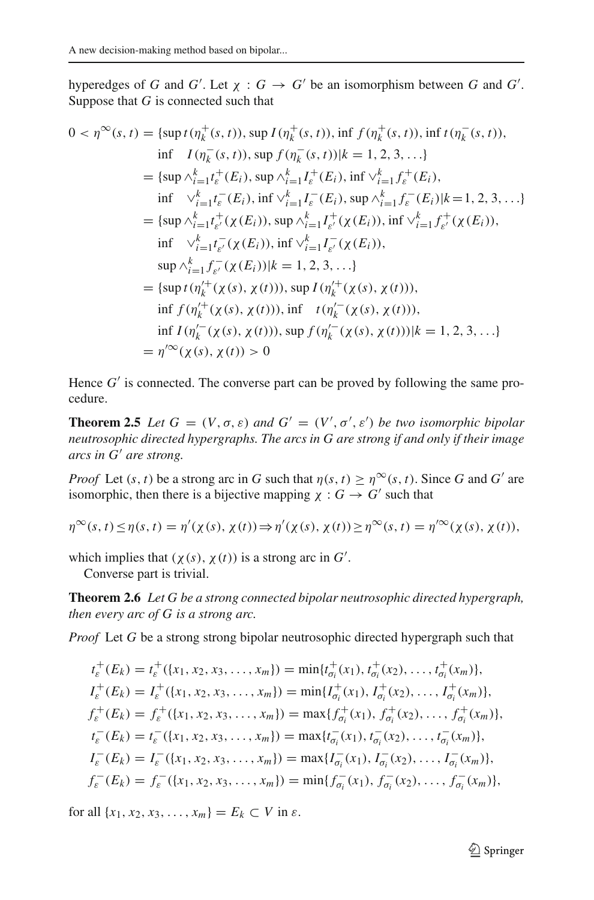hyperedges of *G* and *G'*. Let  $\chi$  :  $G \to G'$  be an isomorphism between *G* and *G'*. Suppose that *G* is connected such that

$$
0 < \eta^{\infty}(s, t) = \{ \sup t(\eta_k^+(s, t)), \sup I(\eta_k^+(s, t)), \inf f(\eta_k^+(s, t)), \inf t(\eta_k^-(s, t)), \\ \text{if } I(\eta_k^-(s, t)), \sup f(\eta_k^-(s, t)) | k = 1, 2, 3, \ldots \}
$$
\n
$$
= \{ \sup \wedge_{i=1}^k t_e^+(E_i), \sup \wedge_{i=1}^k I_e^+(E_i), \inf \vee_{i=1}^k f_e^+(E_i), \\ \text{if } \vee_{i=1}^k t_e^-(E_i), \inf \vee_{i=1}^k I_e^-(E_i), \sup \wedge_{i=1}^k f_e^-(E_i) | k = 1, 2, 3, \ldots \}
$$
\n
$$
= \{ \sup \wedge_{i=1}^k t_e^+(x(E_i)), \sup \wedge_{i=1}^k I_e^+(x(E_i)), \inf \vee_{i=1}^k f_e^+(x(E_i)), \\ \text{if } \vee_{i=1}^k t_e^-(x(E_i)), \inf \vee_{i=1}^k I_e^-(x(E_i)),
$$
\n
$$
\sup \wedge_{i=1}^k f_e^-(x(E_i)) | k = 1, 2, 3, \ldots \}
$$
\n
$$
= \{ \sup t(\eta_k'^+(x(s), x(t))) , \sup t(\eta_k'^+(x(s), x(t))), \\ \text{if } f(\eta_k'^+(x(s), x(t))), \inf t(\eta_k'^-(x(s), x(t))), \\ \text{if } I(\eta_k'^-(x(s), x(t))), \sup f(\eta_k'^-(x(s), x(t))) | k = 1, 2, 3, \ldots \}
$$
\n
$$
= \eta'^{\infty}(x(s), x(t)) > 0
$$

Hence  $G'$  is connected. The converse part can be proved by following the same procedure.

**Theorem 2.5** *Let*  $G = (V, \sigma, \varepsilon)$  *and*  $G' = (V', \sigma', \varepsilon')$  *be two isomorphic bipolar neutrosophic directed hypergraphs. The arcs in G are strong if and only if their image arcs in G are strong.*

*Proof* Let  $(s, t)$  be a strong arc in *G* such that  $\eta(s, t) \geq \eta^{\infty}(s, t)$ . Since *G* and *G'* are isomorphic, then there is a bijective mapping  $\chi : G \to G'$  such that

$$
\eta^{\infty}(s,t) \leq \eta(s,t) = \eta'(\chi(s),\chi(t)) \Rightarrow \eta'(\chi(s),\chi(t)) \geq \eta^{\infty}(s,t) = \eta'^{\infty}(\chi(s),\chi(t)),
$$

which implies that  $(\chi(s), \chi(t))$  is a strong arc in  $G'$ .

Converse part is trivial.

**Theorem 2.6** *Let G be a strong connected bipolar neutrosophic directed hypergraph, then every arc of G is a strong arc.*

*Proof* Let *G* be a strong strong bipolar neutrosophic directed hypergraph such that

$$
t_{\varepsilon}^{+}(E_{k}) = t_{\varepsilon}^{+}(\{x_{1}, x_{2}, x_{3}, \ldots, x_{m}\}) = \min\{t_{\sigma_{i}}^{+}(x_{1}), t_{\sigma_{i}}^{+}(x_{2}), \ldots, t_{\sigma_{i}}^{+}(x_{m})\},
$$
  
\n
$$
I_{\varepsilon}^{+}(E_{k}) = I_{\varepsilon}^{+}(\{x_{1}, x_{2}, x_{3}, \ldots, x_{m}\}) = \min\{I_{\sigma_{i}}^{+}(x_{1}), I_{\sigma_{i}}^{+}(x_{2}), \ldots, I_{\sigma_{i}}^{+}(x_{m})\},
$$
  
\n
$$
f_{\varepsilon}^{+}(E_{k}) = f_{\varepsilon}^{+}(\{x_{1}, x_{2}, x_{3}, \ldots, x_{m}\}) = \max\{f_{\sigma_{i}}^{+}(x_{1}), f_{\sigma_{i}}^{+}(x_{2}), \ldots, f_{\sigma_{i}}^{+}(x_{m})\},
$$
  
\n
$$
t_{\varepsilon}^{-}(E_{k}) = t_{\varepsilon}^{-}(\{x_{1}, x_{2}, x_{3}, \ldots, x_{m}\}) = \max\{t_{\sigma_{i}}^{-}(x_{1}), t_{\sigma_{i}}^{-}(x_{2}), \ldots, t_{\sigma_{i}}^{-}(x_{m})\},
$$
  
\n
$$
I_{\varepsilon}^{-}(E_{k}) = I_{\varepsilon}^{-}(\{x_{1}, x_{2}, x_{3}, \ldots, x_{m}\}) = \max\{I_{\sigma_{i}}^{-}(x_{1}), I_{\sigma_{i}}^{-}(x_{2}), \ldots, I_{\sigma_{i}}^{-}(x_{m})\},
$$
  
\n
$$
f_{\varepsilon}^{-}(E_{k}) = f_{\varepsilon}^{-}(\{x_{1}, x_{2}, x_{3}, \ldots, x_{m}\}) = \min\{f_{\sigma_{i}}^{-}(x_{1}), f_{\sigma_{i}}^{-}(x_{2}), \ldots, f_{\sigma_{i}}^{-}(x_{m})\},
$$

for all  $\{x_1, x_2, x_3, \ldots, x_m\} = E_k \subset V$  in  $\varepsilon$ .

<sup>2</sup> Springer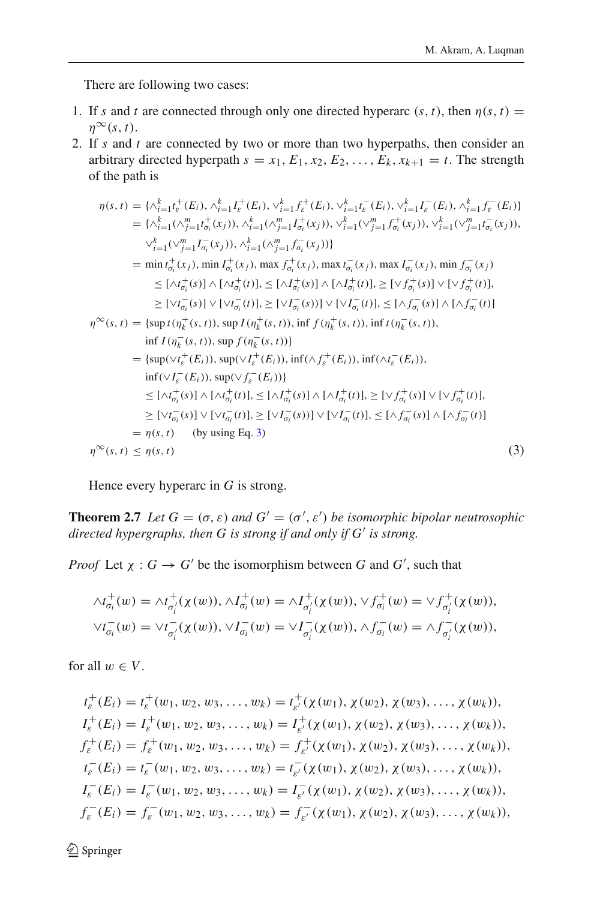There are following two cases:

- 1. If *s* and *t* are connected through only one directed hyperarc  $(s, t)$ , then  $\eta(s, t)$  =  $\eta^{\infty}(s, t)$ .
- 2. If *s* and *t* are connected by two or more than two hyperpaths, then consider an arbitrary directed hyperpath  $s = x_1, E_1, x_2, E_2, \ldots, E_k, x_{k+1} = t$ . The strength of the path is

<span id="page-19-0"></span>
$$
\eta(s,t) = \{\Lambda_{i=1}^{k} t_{\bar{t}}^{+}(E_{i}), \Lambda_{i=1}^{k} t_{\bar{t}}^{+}(E_{i}), \forall_{i=1}^{k} t_{\bar{t}}^{+}(E_{i}), \forall_{i=1}^{k} t_{\bar{t}}^{-}(E_{i}), \forall_{i=1}^{k} t_{\bar{t}}^{-}(E_{i}), \Lambda_{i=1}^{k} t_{\bar{t}}^{-}(E_{i})\}
$$
\n
$$
= \{\Lambda_{i=1}^{k} (\Lambda_{j=1}^{m} t_{\sigma_{i}}^{+}(x_{j})), \Lambda_{i=1}^{k} (\Lambda_{j=1}^{m} t_{\sigma_{i}}^{+}(x_{j})), \forall_{i=1}^{k} (\Lambda_{j=1}^{m} t_{\sigma_{i}}^{+}(x_{j})), \forall_{i=1}^{k} (\Lambda_{j=1}^{m} t_{\sigma_{i}}^{+}(x_{j})), \forall_{i=1}^{k} (\Lambda_{j=1}^{m} t_{\sigma_{i}}^{+}(x_{j})), \Lambda_{i=1}^{k} (\Lambda_{j=1}^{m} t_{\sigma_{i}}^{+}(x_{j})), \forall_{i=1}^{k} (\Lambda_{j=1}^{m} t_{\sigma_{i}}^{+}(x_{j})), \forall_{i=1}^{k} (\Lambda_{j=1}^{m} t_{\sigma_{i}}^{+}(x_{j})), \forall_{i=1}^{k} (\Lambda_{j=1}^{m} t_{\sigma_{i}}^{+}(x_{j})), \forall_{i=1}^{k} (\Lambda_{j=1}^{m} t_{\sigma_{i}}^{+}(x_{j})), \forall_{i=1}^{k} (\Lambda_{j=1}^{m} t_{\sigma_{i}}^{+}(x_{j})), \forall_{i=1}^{k} (\Lambda_{j=1}^{m} t_{\sigma_{i}}^{+}(x_{j})), \forall_{i=1}^{k} (\Lambda_{j=1}^{m} t_{\sigma_{i}}^{+}(x_{j})), \forall_{i=1}^{k} (\Lambda_{j=1}^{m} t_{\sigma_{i}}^{+}(x_{j})), \forall_{i=1}^{k} (\Lambda_{j=1}^{m} t_{\sigma_{i}}^{+}(x_{j})), \forall_{i=1}^{k} (\Lambda_{j=1}^{m} t_{\sigma_{i}}^{+}(x_{j})), \forall_{i=1}^{k} (\Lambda_{j=1}^{m} t_{\sigma_{i}}^{+}(x_{j})), \forall_{i
$$

Hence every hyperarc in *G* is strong.

**Theorem 2.7** *Let*  $G = (\sigma, \varepsilon)$  *and*  $G' = (\sigma', \varepsilon')$  *be isomorphic bipolar neutrosophic directed hypergraphs, then G is strong if and only if G is strong.*

*Proof* Let  $\chi : G \to G'$  be the isomorphism between *G* and *G'*, such that

$$
\begin{aligned}\n\wedge t_{\sigma_i}^+(w) &= \wedge t_{\sigma_i'}^+( \chi(w)), \wedge I_{\sigma_i}^+(w) = \wedge I_{\sigma_i'}^+( \chi(w)), \vee f_{\sigma_i}^+(w) = \vee f_{\sigma_i'}^+( \chi(w)), \\
\vee t_{\sigma_i}^-(w) &= \vee t_{\sigma_i'}^-( \chi(w)), \vee I_{\sigma_i}^-(w) = \vee I_{\sigma_i'}^-( \chi(w)), \wedge f_{\sigma_i}^-(w) = \wedge f_{\sigma_i'}^-( \chi(w)),\n\end{aligned}
$$

for all  $w \in V$ .

$$
t_{\varepsilon}^{+}(E_{i}) = t_{\varepsilon}^{+}(w_{1}, w_{2}, w_{3}, \ldots, w_{k}) = t_{\varepsilon'}^{+}(\chi(w_{1}), \chi(w_{2}), \chi(w_{3}), \ldots, \chi(w_{k})),
$$
  
\n
$$
I_{\varepsilon}^{+}(E_{i}) = I_{\varepsilon}^{+}(w_{1}, w_{2}, w_{3}, \ldots, w_{k}) = I_{\varepsilon'}^{+}(\chi(w_{1}), \chi(w_{2}), \chi(w_{3}), \ldots, \chi(w_{k})),
$$
  
\n
$$
f_{\varepsilon}^{+}(E_{i}) = f_{\varepsilon}^{+}(w_{1}, w_{2}, w_{3}, \ldots, w_{k}) = f_{\varepsilon'}^{+}(\chi(w_{1}), \chi(w_{2}), \chi(w_{3}), \ldots, \chi(w_{k})),
$$
  
\n
$$
t_{\varepsilon}^{-}(E_{i}) = t_{\varepsilon}^{-}(w_{1}, w_{2}, w_{3}, \ldots, w_{k}) = t_{\varepsilon'}^{-}(\chi(w_{1}), \chi(w_{2}), \chi(w_{3}), \ldots, \chi(w_{k})),
$$
  
\n
$$
I_{\varepsilon}^{-}(E_{i}) = I_{\varepsilon}^{-}(w_{1}, w_{2}, w_{3}, \ldots, w_{k}) = I_{\varepsilon'}^{-}(\chi(w_{1}), \chi(w_{2}), \chi(w_{3}), \ldots, \chi(w_{k})),
$$
  
\n
$$
f_{\varepsilon}^{-}(E_{i}) = f_{\varepsilon}^{-}(w_{1}, w_{2}, w_{3}, \ldots, w_{k}) = f_{\varepsilon'}^{-}(\chi(w_{1}), \chi(w_{2}), \chi(w_{3}), \ldots, \chi(w_{k})),
$$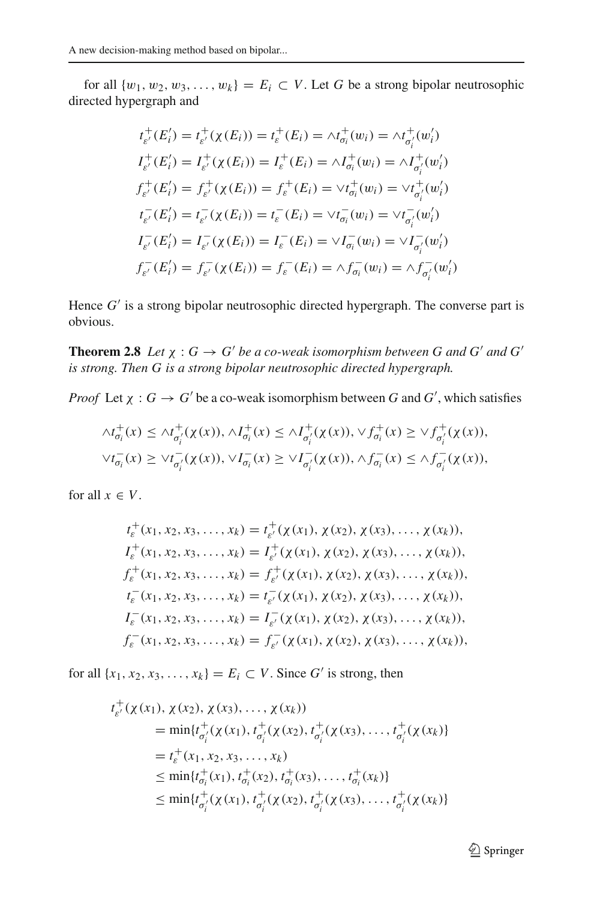for all  $\{w_1, w_2, w_3, \ldots, w_k\} = E_i \subset V$ . Let G be a strong bipolar neutrosophic directed hypergraph and

$$
t_{\varepsilon'}^+(E_i') = t_{\varepsilon'}^+( \chi(E_i)) = t_{\varepsilon}^+(E_i) = \wedge t_{\sigma_i}^+(w_i) = \wedge t_{\sigma_i'}^+(w_i')
$$
  
\n
$$
I_{\varepsilon'}^+(E_i') = I_{\varepsilon'}^+( \chi(E_i)) = I_{\varepsilon}^+(E_i) = \wedge I_{\sigma_i'}^+(w_i) = \wedge I_{\sigma_i'}^+(w_i')
$$
  
\n
$$
f_{\varepsilon'}^+(E_i') = f_{\varepsilon'}^+( \chi(E_i)) = f_{\varepsilon}^+(E_i) = \vee t_{\sigma_i}^-(w_i) = \vee t_{\sigma_i'}^+(w_i')
$$
  
\n
$$
t_{\varepsilon'}^-(E_i') = t_{\varepsilon'}^-( \chi(E_i)) = t_{\varepsilon}^-(E_i) = \vee I_{\sigma_i}^-(w_i) = \vee I_{\sigma_i'}^-(w_i')
$$
  
\n
$$
I_{\varepsilon'}^-(E_i') = I_{\varepsilon'}^-( \chi(E_i)) = I_{\varepsilon}^-(E_i) = \wedge I_{\sigma_i}^-(w_i) = \wedge I_{\sigma_i'}^-(w_i')
$$
  
\n
$$
f_{\varepsilon'}^-(E_i') = f_{\varepsilon'}^-( \chi(E_i)) = f_{\varepsilon}^-(E_i) = \wedge f_{\sigma_i}^-(w_i) = \wedge f_{\sigma_i'}^-(w_i')
$$

Hence  $G'$  is a strong bipolar neutrosophic directed hypergraph. The converse part is obvious.

**Theorem 2.8** *Let*  $\chi$  :  $G \rightarrow G'$  *be a co-weak isomorphism between G and G' and G' is strong. Then G is a strong bipolar neutrosophic directed hypergraph.*

*Proof* Let  $\chi : G \to G'$  be a co-weak isomorphism between *G* and *G'*, which satisfies

$$
\Lambda t_{\sigma_i}^+(x) \leq \Lambda t_{\sigma_i'}^+(x(x)), \Lambda t_{\sigma_i}^+(x) \leq \Lambda t_{\sigma_i'}^+(x(x)), \forall f_{\sigma_i}^+(x) \geq \forall f_{\sigma_i'}^+(x(x)),
$$
  

$$
\forall t_{\sigma_i}^-(x) \geq \forall t_{\sigma_i'}^-(x(x)), \forall I_{\sigma_i}^-(x) \geq \forall I_{\sigma_i'}^-(x(x)), \Lambda t_{\sigma_i}^-(x) \leq \Lambda t_{\sigma_i'}^-(x(x)),
$$

for all  $x \in V$ .

$$
t_{\varepsilon}^{+}(x_{1}, x_{2}, x_{3}, \ldots, x_{k}) = t_{\varepsilon'}^{+}(\chi(x_{1}), \chi(x_{2}), \chi(x_{3}), \ldots, \chi(x_{k})),
$$
  
\n
$$
I_{\varepsilon}^{+}(x_{1}, x_{2}, x_{3}, \ldots, x_{k}) = I_{\varepsilon'}^{+}(\chi(x_{1}), \chi(x_{2}), \chi(x_{3}), \ldots, \chi(x_{k})),
$$
  
\n
$$
f_{\varepsilon}^{+}(x_{1}, x_{2}, x_{3}, \ldots, x_{k}) = f_{\varepsilon'}^{+}(\chi(x_{1}), \chi(x_{2}), \chi(x_{3}), \ldots, \chi(x_{k})),
$$
  
\n
$$
t_{\varepsilon}^{-}(x_{1}, x_{2}, x_{3}, \ldots, x_{k}) = t_{\varepsilon'}^{-}(\chi(x_{1}), \chi(x_{2}), \chi(x_{3}), \ldots, \chi(x_{k})),
$$
  
\n
$$
I_{\varepsilon}^{-}(x_{1}, x_{2}, x_{3}, \ldots, x_{k}) = I_{\varepsilon'}^{-}(\chi(x_{1}), \chi(x_{2}), \chi(x_{3}), \ldots, \chi(x_{k})),
$$
  
\n
$$
f_{\varepsilon}^{-}(x_{1}, x_{2}, x_{3}, \ldots, x_{k}) = f_{\varepsilon'}^{-}(\chi(x_{1}), \chi(x_{2}), \chi(x_{3}), \ldots, \chi(x_{k})),
$$

for all  $\{x_1, x_2, x_3, \ldots, x_k\} = E_i \subset V$ . Since *G'* is strong, then

$$
t_{\varepsilon'}^{+}(\chi(x_{1}), \chi(x_{2}), \chi(x_{3}), \ldots, \chi(x_{k}))
$$
  
\n
$$
= \min\{t_{\sigma'_{i}}^{+}(\chi(x_{1}), t_{\sigma'_{i}}^{+}(\chi(x_{2}), t_{\sigma'_{i}}^{+}(\chi(x_{3}), \ldots, t_{\sigma'_{i}}^{+}(\chi(x_{k}))\})
$$
  
\n
$$
= t_{\varepsilon}^{+}(x_{1}, x_{2}, x_{3}, \ldots, x_{k})
$$
  
\n
$$
\leq \min\{t_{\sigma_{i}}^{+}(x_{1}), t_{\sigma_{i}}^{+}(x_{2}), t_{\sigma_{i}}^{+}(x_{3}), \ldots, t_{\sigma_{i}}^{+}(x_{k})\}
$$
  
\n
$$
\leq \min\{t_{\sigma'_{i}}^{+}(\chi(x_{1}), t_{\sigma'_{i}}^{+}(\chi(x_{2}), t_{\sigma'_{i}}^{+}(\chi(x_{3}), \ldots, t_{\sigma'_{i}}^{+}(\chi(x_{k})))\})
$$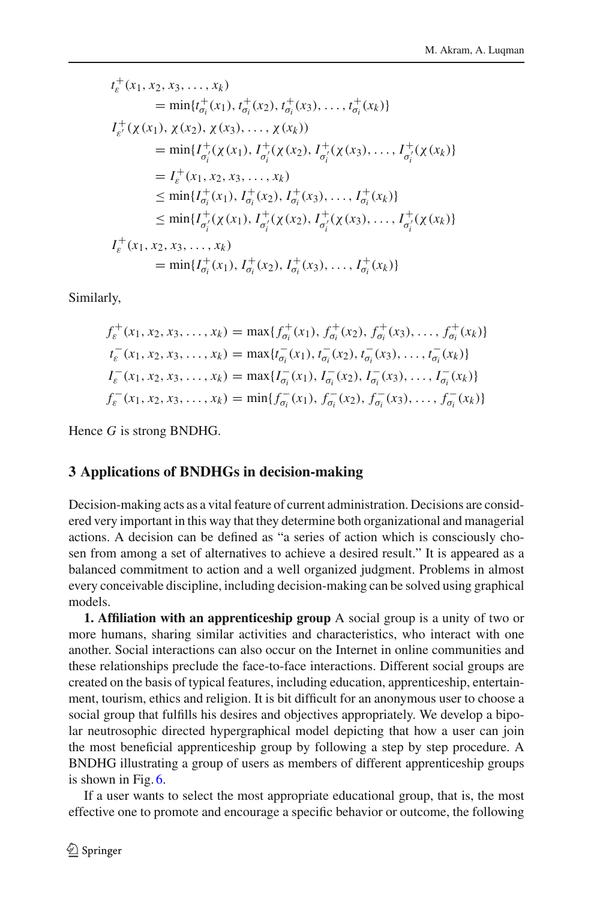$$
t_{\varepsilon}^{+}(x_{1}, x_{2}, x_{3},..., x_{k})
$$
\n
$$
= \min\{t_{\sigma_{i}}^{+}(x_{1}), t_{\sigma_{i}}^{+}(x_{2}), t_{\sigma_{i}}^{+}(x_{3}),..., t_{\sigma_{i}}^{+}(x_{k})\}
$$
\n
$$
I_{\varepsilon'}^{+}(\chi(x_{1}), \chi(x_{2}), \chi(x_{3}),..., \chi(x_{k}))
$$
\n
$$
= \min\{I_{\sigma_{i}}^{+}(\chi(x_{1}), I_{\sigma_{i}}^{+}(\chi(x_{2}), I_{\sigma_{i}}^{+}(\chi(x_{3}),..., I_{\sigma_{i}}^{+}(\chi(x_{k}))\})
$$
\n
$$
= I_{\varepsilon}^{+}(x_{1}, x_{2}, x_{3},..., x_{k})
$$
\n
$$
\leq \min\{I_{\sigma_{i}}^{+}(x_{1}), I_{\sigma_{i}}^{+}(x_{2}), I_{\sigma_{i}}^{+}(x_{3}),..., I_{\sigma_{i}}^{+}(x_{k})\}
$$
\n
$$
\leq \min\{I_{\sigma_{i}}^{+}(\chi(x_{1}), I_{\sigma_{i}}^{+}(\chi(x_{2}), I_{\sigma_{i}}^{+}(\chi(x_{3}),..., I_{\sigma_{i}}^{+}(\chi(x_{k}))\})
$$
\n
$$
I_{\varepsilon}^{+}(x_{1}, x_{2}, x_{3},..., x_{k})
$$
\n
$$
= \min\{I_{\sigma_{i}}^{+}(x_{1}), I_{\sigma_{i}}^{+}(x_{2}), I_{\sigma_{i}}^{+}(x_{3}),..., I_{\sigma_{i}}^{+}(x_{k})\}
$$

Similarly,

$$
f_{\varepsilon}^{+}(x_{1}, x_{2}, x_{3}, \ldots, x_{k}) = \max\{f_{\sigma_{i}}^{+}(x_{1}), f_{\sigma_{i}}^{+}(x_{2}), f_{\sigma_{i}}^{+}(x_{3}), \ldots, f_{\sigma_{i}}^{+}(x_{k})\}
$$
  
\n
$$
t_{\varepsilon}^{-}(x_{1}, x_{2}, x_{3}, \ldots, x_{k}) = \max\{t_{\sigma_{i}}^{-}(x_{1}), t_{\sigma_{i}}^{-}(x_{2}), t_{\sigma_{i}}^{-}(x_{3}), \ldots, t_{\sigma_{i}}^{-}(x_{k})\}
$$
  
\n
$$
I_{\varepsilon}^{-}(x_{1}, x_{2}, x_{3}, \ldots, x_{k}) = \max\{I_{\sigma_{i}}^{-}(x_{1}), I_{\sigma_{i}}^{-}(x_{2}), I_{\sigma_{i}}^{-}(x_{3}), \ldots, I_{\sigma_{i}}^{-}(x_{k})\}
$$
  
\n
$$
f_{\varepsilon}^{-}(x_{1}, x_{2}, x_{3}, \ldots, x_{k}) = \min\{f_{\sigma_{i}}^{-}(x_{1}), f_{\sigma_{i}}^{-}(x_{2}), f_{\sigma_{i}}^{-}(x_{3}), \ldots, f_{\sigma_{i}}^{-}(x_{k})\}
$$

Hence *G* is strong BNDHG.

## <span id="page-21-0"></span>**3 Applications of BNDHGs in decision-making**

Decision-making acts as a vital feature of current administration. Decisions are considered very important in this way that they determine both organizational and managerial actions. A decision can be defined as "a series of action which is consciously chosen from among a set of alternatives to achieve a desired result." It is appeared as a balanced commitment to action and a well organized judgment. Problems in almost every conceivable discipline, including decision-making can be solved using graphical models.

**1. Affiliation with an apprenticeship group** A social group is a unity of two or more humans, sharing similar activities and characteristics, who interact with one another. Social interactions can also occur on the Internet in online communities and these relationships preclude the face-to-face interactions. Different social groups are created on the basis of typical features, including education, apprenticeship, entertainment, tourism, ethics and religion. It is bit difficult for an anonymous user to choose a social group that fulfills his desires and objectives appropriately. We develop a bipolar neutrosophic directed hypergraphical model depicting that how a user can join the most beneficial apprenticeship group by following a step by step procedure. A BNDHG illustrating a group of users as members of different apprenticeship groups is shown in Fig. [6.](#page-22-0)

If a user wants to select the most appropriate educational group, that is, the most effective one to promote and encourage a specific behavior or outcome, the following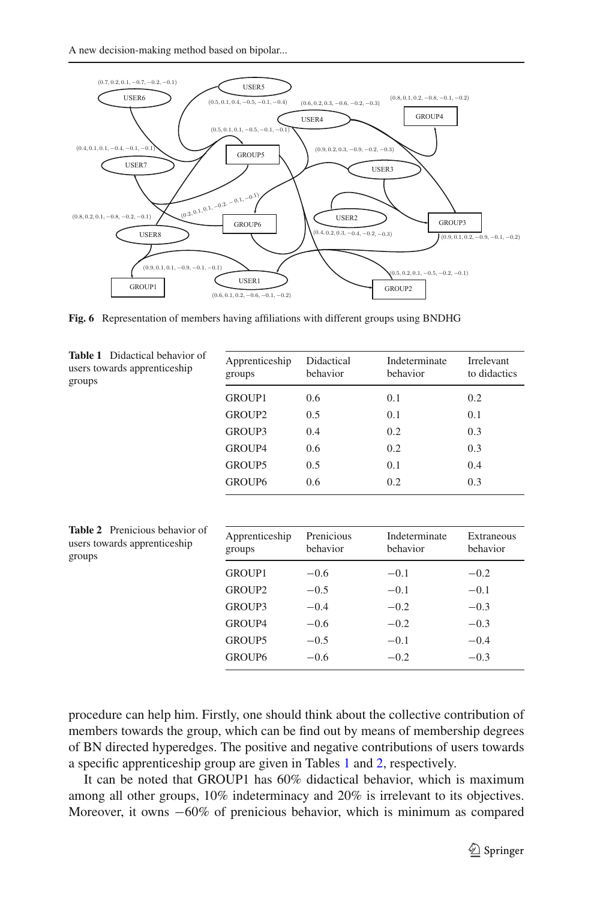

<span id="page-22-0"></span>**Fig. 6** Representation of members having affiliations with different groups using BNDHG

<span id="page-22-1"></span>

| <b>Table 1</b> Didactical behavior of<br>users towards apprenticeship<br>groups | Apprenticeship<br>groups | Didactical<br>behavior | Indeterminate<br>behavior | Irrelevant<br>to didactics |
|---------------------------------------------------------------------------------|--------------------------|------------------------|---------------------------|----------------------------|
|                                                                                 | <b>GROUP1</b>            | 0.6                    | 0.1                       | 0.2                        |
|                                                                                 | GROUP <sub>2</sub>       | 0.5                    | 0.1                       | 0.1                        |
|                                                                                 | GROUP3                   | 0.4                    | 0.2                       | 0.3                        |
|                                                                                 | GROUP4                   | 0.6                    | 0.2                       | 0.3                        |
|                                                                                 | GROUP5                   | 0.5                    | 0.1                       | 0.4                        |
|                                                                                 | GROUP6                   | 0.6                    | 0.2                       | 0.3                        |

<span id="page-22-2"></span>

| <b>Table 2</b> Prenicious behavior of<br>users towards apprenticeship<br>groups | Apprenticeship<br>groups | Prenicious<br>behavior | Indeterminate<br>behavior | Extraneous<br>behavior |
|---------------------------------------------------------------------------------|--------------------------|------------------------|---------------------------|------------------------|
|                                                                                 | <b>GROUP1</b>            | $-0.6$                 | $-0.1$                    | $-0.2$                 |
|                                                                                 | GROUP2                   | $-0.5$                 | $-0.1$                    | $-0.1$                 |
|                                                                                 | GROUP3                   | $-0.4$                 | $-0.2$                    | $-0.3$                 |
|                                                                                 | <b>GROUP4</b>            | $-0.6$                 | $-0.2$                    | $-0.3$                 |
|                                                                                 | GROUP5                   | $-0.5$                 | $-0.1$                    | $-0.4$                 |
|                                                                                 | GROUP <sub>6</sub>       | $-0.6$                 | $-0.2$                    | $-0.3$                 |

procedure can help him. Firstly, one should think about the collective contribution of members towards the group, which can be find out by means of membership degrees of BN directed hyperedges. The positive and negative contributions of users towards a specific apprenticeship group are given in Tables [1](#page-22-1) and [2,](#page-22-2) respectively.

It can be noted that GROUP1 has 60% didactical behavior, which is maximum among all other groups, 10% indeterminacy and 20% is irrelevant to its objectives. Moreover, it owns −60% of prenicious behavior, which is minimum as compared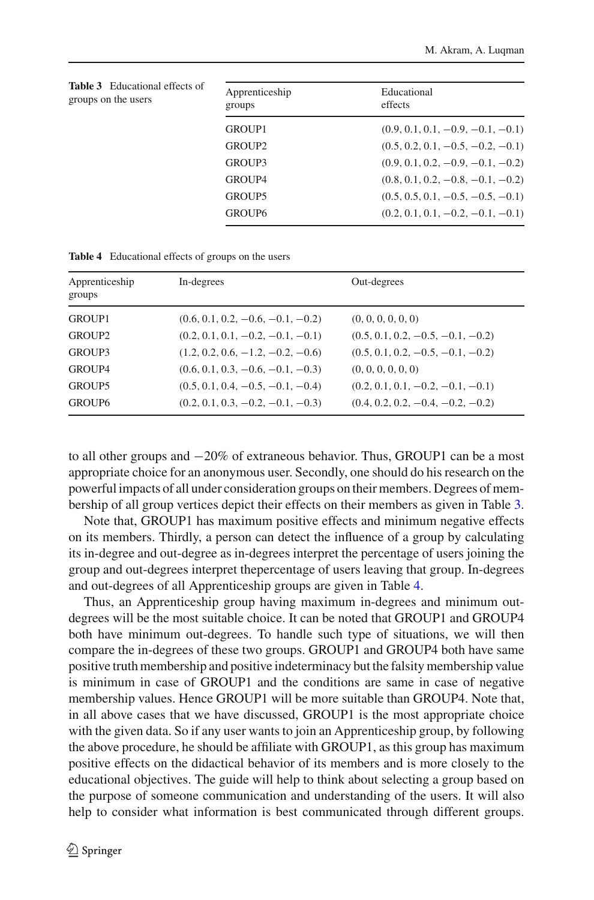<span id="page-23-0"></span>

| <b>Table 3</b> Educational effects of<br>groups on the users |                          |                                     |  |  |
|--------------------------------------------------------------|--------------------------|-------------------------------------|--|--|
|                                                              | Apprenticeship<br>groups | Educational<br>effects              |  |  |
|                                                              | GROUP1                   | $(0.9, 0.1, 0.1, -0.9, -0.1, -0.1)$ |  |  |
|                                                              | GROUP2                   | $(0.5, 0.2, 0.1, -0.5, -0.2, -0.1)$ |  |  |
|                                                              | GROUP3                   | $(0.9, 0.1, 0.2, -0.9, -0.1, -0.2)$ |  |  |
|                                                              | GROUP4                   | $(0.8, 0.1, 0.2, -0.8, -0.1, -0.2)$ |  |  |
|                                                              | GROUP5                   | $(0.5, 0.5, 0.1, -0.5, -0.5, -0.1)$ |  |  |
|                                                              | GROUP6                   | $(0.2, 0.1, 0.1, -0.2, -0.1, -0.1)$ |  |  |
|                                                              |                          |                                     |  |  |

| Apprenticeship<br>groups | In-degrees                          | Out-degrees                         |
|--------------------------|-------------------------------------|-------------------------------------|
| <b>GROUP1</b>            | $(0.6, 0.1, 0.2, -0.6, -0.1, -0.2)$ | (0, 0, 0, 0, 0, 0)                  |
| GROUP <sub>2</sub>       | $(0.2, 0.1, 0.1, -0.2, -0.1, -0.1)$ | $(0.5, 0.1, 0.2, -0.5, -0.1, -0.2)$ |
| GROUP3                   | $(1.2, 0.2, 0.6, -1.2, -0.2, -0.6)$ | $(0.5, 0.1, 0.2, -0.5, -0.1, -0.2)$ |
| <b>GROUP4</b>            | $(0.6, 0.1, 0.3, -0.6, -0.1, -0.3)$ | (0, 0, 0, 0, 0, 0)                  |
| <b>GROUP5</b>            | $(0.5, 0.1, 0.4, -0.5, -0.1, -0.4)$ | $(0.2, 0.1, 0.1, -0.2, -0.1, -0.1)$ |
| <b>GROUP6</b>            | $(0.2, 0.1, 0.3, -0.2, -0.1, -0.3)$ | $(0.4, 0.2, 0.2, -0.4, -0.2, -0.2)$ |
|                          |                                     |                                     |

<span id="page-23-1"></span>**Table 4** Educational effects of groups on the users

to all other groups and −20% of extraneous behavior. Thus, GROUP1 can be a most appropriate choice for an anonymous user. Secondly, one should do his research on the powerful impacts of all under consideration groups on their members. Degrees of membership of all group vertices depict their effects on their members as given in Table [3.](#page-23-0)

Note that, GROUP1 has maximum positive effects and minimum negative effects on its members. Thirdly, a person can detect the influence of a group by calculating its in-degree and out-degree as in-degrees interpret the percentage of users joining the group and out-degrees interpret thepercentage of users leaving that group. In-degrees and out-degrees of all Apprenticeship groups are given in Table [4.](#page-23-1)

Thus, an Apprenticeship group having maximum in-degrees and minimum outdegrees will be the most suitable choice. It can be noted that GROUP1 and GROUP4 both have minimum out-degrees. To handle such type of situations, we will then compare the in-degrees of these two groups. GROUP1 and GROUP4 both have same positive truth membership and positive indeterminacy but the falsity membership value is minimum in case of GROUP1 and the conditions are same in case of negative membership values. Hence GROUP1 will be more suitable than GROUP4. Note that, in all above cases that we have discussed, GROUP1 is the most appropriate choice with the given data. So if any user wants to join an Apprenticeship group, by following the above procedure, he should be affiliate with GROUP1, as this group has maximum positive effects on the didactical behavior of its members and is more closely to the educational objectives. The guide will help to think about selecting a group based on the purpose of someone communication and understanding of the users. It will also help to consider what information is best communicated through different groups.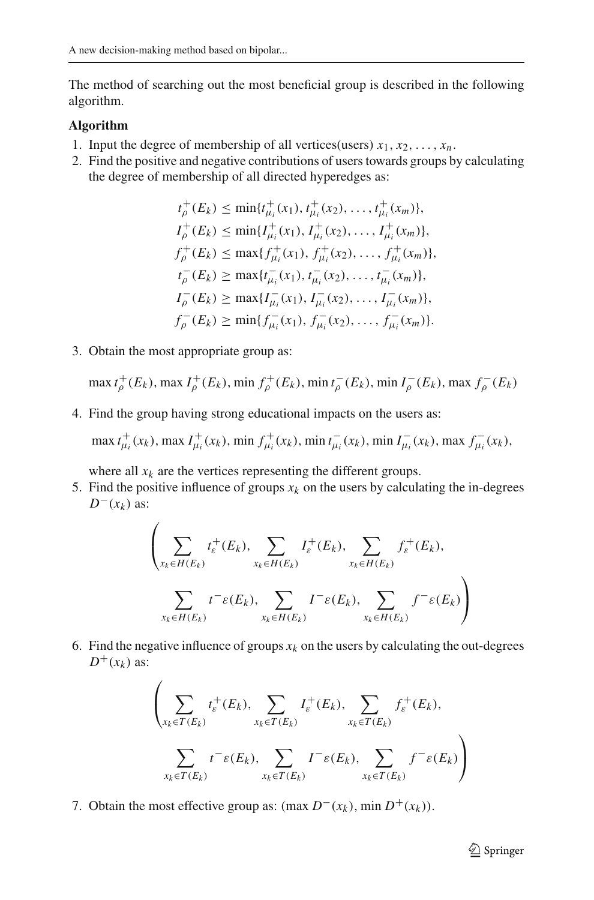The method of searching out the most beneficial group is described in the following algorithm.

#### **Algorithm**

- 1. Input the degree of membership of all vertices(users)  $x_1, x_2, \ldots, x_n$ .
- 2. Find the positive and negative contributions of users towards groups by calculating the degree of membership of all directed hyperedges as:

$$
t_{\rho}^{+}(E_{k}) \leq \min\{t_{\mu_{i}}^{+}(x_{1}), t_{\mu_{i}}^{+}(x_{2}), \ldots, t_{\mu_{i}}^{+}(x_{m})\},
$$
  
\n
$$
I_{\rho}^{+}(E_{k}) \leq \min\{I_{\mu_{i}}^{+}(x_{1}), I_{\mu_{i}}^{+}(x_{2}), \ldots, I_{\mu_{i}}^{+}(x_{m})\},
$$
  
\n
$$
f_{\rho}^{+}(E_{k}) \leq \max\{f_{\mu_{i}}^{+}(x_{1}), f_{\mu_{i}}^{+}(x_{2}), \ldots, f_{\mu_{i}}^{+}(x_{m})\},
$$
  
\n
$$
t_{\rho}^{-}(E_{k}) \geq \max\{t_{\mu_{i}}^{-}(x_{1}), t_{\mu_{i}}^{-}(x_{2}), \ldots, t_{\mu_{i}}^{-}(x_{m})\},
$$
  
\n
$$
I_{\rho}^{-}(E_{k}) \geq \max\{I_{\mu_{i}}^{-}(x_{1}), I_{\mu_{i}}^{-}(x_{2}), \ldots, I_{\mu_{i}}^{-}(x_{m})\},
$$
  
\n
$$
f_{\rho}^{-}(E_{k}) \geq \min\{f_{\mu_{i}}^{-}(x_{1}), f_{\mu_{i}}^{-}(x_{2}), \ldots, f_{\mu_{i}}^{-}(x_{m})\}.
$$

3. Obtain the most appropriate group as:

 $\max t_{\rho}^{+}(E_k)$ , max  $I_{\rho}^{+}(E_k)$ , min  $f_{\rho}^{+}(E_k)$ , min  $t_{\rho}^{-}(E_k)$ , min  $I_{\rho}^{-}(E_k)$ , max  $f_{\rho}^{-}(E_k)$ 

4. Find the group having strong educational impacts on the users as:

max  $t_{\mu_i}^+(x_k)$ , max  $I_{\mu_i}^+(x_k)$ , min  $f_{\mu_i}^+(x_k)$ , min  $t_{\mu_i}^-(x_k)$ , min  $I_{\mu_i}^-(x_k)$ , max  $f_{\mu_i}^-(x_k)$ ,

where all  $x_k$  are the vertices representing the different groups.

5. Find the positive influence of groups  $x_k$  on the users by calculating the in-degrees  $D^{-}(x_k)$  as:

$$
\left(\sum_{x_k \in H(E_k)} t_{\varepsilon}^+(E_k), \sum_{x_k \in H(E_k)} I_{\varepsilon}^+(E_k), \sum_{x_k \in H(E_k)} f_{\varepsilon}^+(E_k),\right)
$$
\n
$$
\sum_{x_k \in H(E_k)} t^- \varepsilon(E_k), \sum_{x_k \in H(E_k)} I^- \varepsilon(E_k), \sum_{x_k \in H(E_k)} f^- \varepsilon(E_k)\right)
$$

6. Find the negative influence of groups  $x_k$  on the users by calculating the out-degrees  $D^+(x_k)$  as:

$$
\left(\sum_{x_k \in T(E_k)} t_{\varepsilon}^+(E_k), \sum_{x_k \in T(E_k)} I_{\varepsilon}^+(E_k), \sum_{x_k \in T(E_k)} f_{\varepsilon}^+(E_k),\right)
$$
\n
$$
\sum_{x_k \in T(E_k)} t^- \varepsilon(E_k), \sum_{x_k \in T(E_k)} I^- \varepsilon(E_k), \sum_{x_k \in T(E_k)} f^- \varepsilon(E_k)\right)
$$

7. Obtain the most effective group as:  $(\max D^{-}(x_k), \min D^{+}(x_k))$ .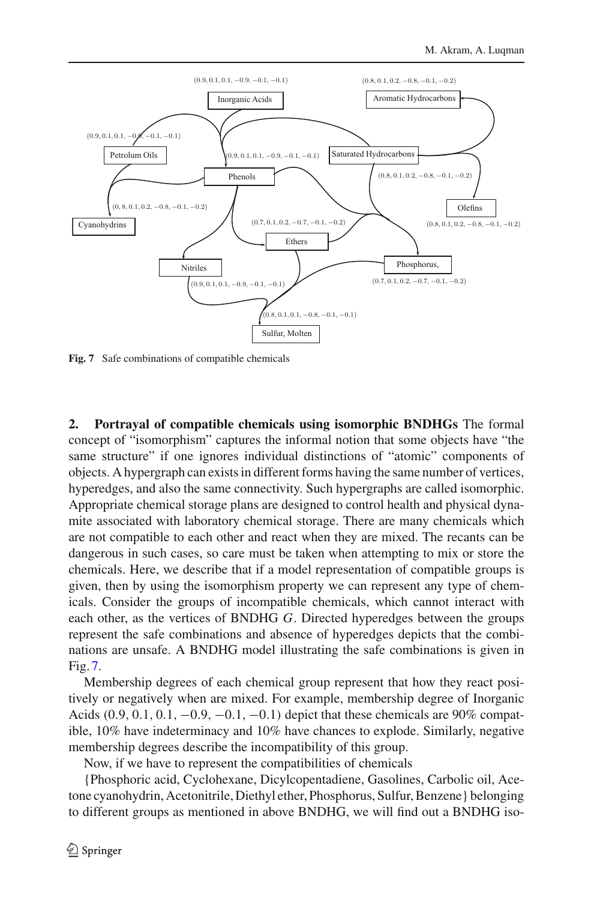

<span id="page-25-0"></span>**Fig. 7** Safe combinations of compatible chemicals

**2. Portrayal of compatible chemicals using isomorphic BNDHGs** The formal concept of "isomorphism" captures the informal notion that some objects have "the same structure" if one ignores individual distinctions of "atomic" components of objects. A hypergraph can exists in different forms having the same number of vertices, hyperedges, and also the same connectivity. Such hypergraphs are called isomorphic. Appropriate chemical storage plans are designed to control health and physical dynamite associated with laboratory chemical storage. There are many chemicals which are not compatible to each other and react when they are mixed. The recants can be dangerous in such cases, so care must be taken when attempting to mix or store the chemicals. Here, we describe that if a model representation of compatible groups is given, then by using the isomorphism property we can represent any type of chemicals. Consider the groups of incompatible chemicals, which cannot interact with each other, as the vertices of BNDHG *G*. Directed hyperedges between the groups represent the safe combinations and absence of hyperedges depicts that the combinations are unsafe. A BNDHG model illustrating the safe combinations is given in Fig. [7.](#page-25-0)

Membership degrees of each chemical group represent that how they react positively or negatively when are mixed. For example, membership degree of Inorganic Acids  $(0.9, 0.1, 0.1, -0.9, -0.1, -0.1)$  depict that these chemicals are 90% compatible, 10% have indeterminacy and 10% have chances to explode. Similarly, negative membership degrees describe the incompatibility of this group.

Now, if we have to represent the compatibilities of chemicals

{Phosphoric acid, Cyclohexane, Dicylcopentadiene, Gasolines, Carbolic oil, Acetone cyanohydrin, Acetonitrile, Diethyl ether, Phosphorus, Sulfur, Benzene} belonging to different groups as mentioned in above BNDHG, we will find out a BNDHG iso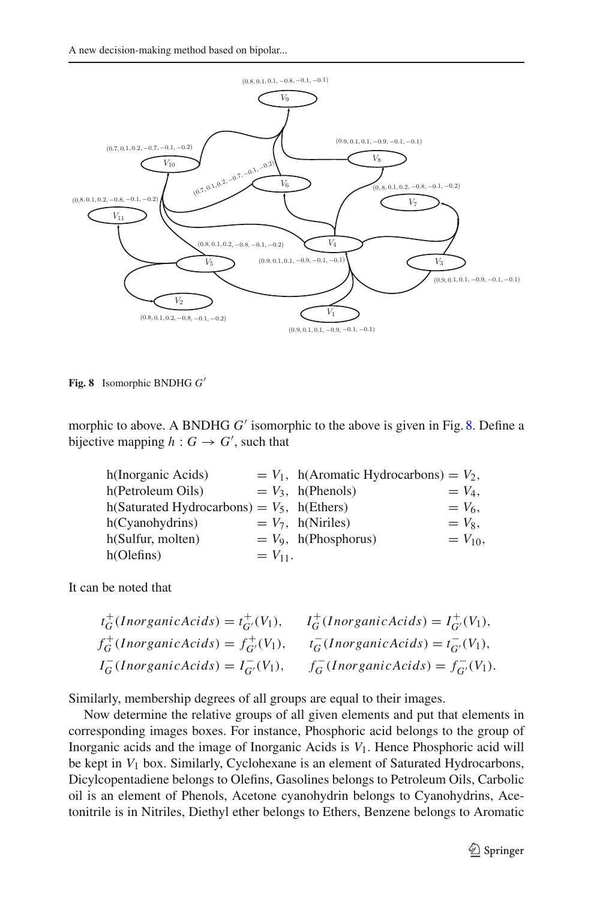A new decision-making method based on bipolar...



<span id="page-26-0"></span>**Fig. 8** Isomorphic BNDHG *G*

morphic to above. A BNDHG *G'* isomorphic to the above is given in Fig. [8.](#page-26-0) Define a bijective mapping  $h: G \to G'$ , such that

| h(Inorganic Acids)                            |              | $= V_1$ , h(Aromatic Hydrocarbons) $= V_2$ , |              |
|-----------------------------------------------|--------------|----------------------------------------------|--------------|
| h(Petroleum Oils)                             |              | $= V_3$ , h(Phenols)                         | $= V_4$ .    |
| h(Saturated Hydrocarbons) = $V_5$ , h(Ethers) |              |                                              | $= V_6$ .    |
| h(Cyanohydrins)                               |              | $= V_7$ , h(Niriles)                         | $= V_8$ .    |
| h(Sulfur, molten)                             |              | $= V_9$ , h(Phosphorus)                      | $= V_{10}$ , |
| h(Oleft)                                      | $= V_{11}$ . |                                              |              |

It can be noted that

| $t_G^+(Inorganic Acids) = t_{G'}^+(V_1),$     | $I_G^+(Inorganic Acids) = I_{G'}^+(V_1),$     |
|-----------------------------------------------|-----------------------------------------------|
| $f_G^+(Inorganic Acids) = f_{G'}^+(V_1),$     | $t_G^{-}(Inorganic Acids) = t_{G'}^{-}(V_1),$ |
| $I_G^{-}(Inorganic Acids) = I_{G'}^{-}(V_1),$ | $f_G^{-}(Inorganic Acids) = f_{G'}^{-}(V_1).$ |

Similarly, membership degrees of all groups are equal to their images.

Now determine the relative groups of all given elements and put that elements in corresponding images boxes. For instance, Phosphoric acid belongs to the group of Inorganic acids and the image of Inorganic Acids is *V*1. Hence Phosphoric acid will be kept in *V*<sup>1</sup> box. Similarly, Cyclohexane is an element of Saturated Hydrocarbons, Dicylcopentadiene belongs to Olefins, Gasolines belongs to Petroleum Oils, Carbolic oil is an element of Phenols, Acetone cyanohydrin belongs to Cyanohydrins, Acetonitrile is in Nitriles, Diethyl ether belongs to Ethers, Benzene belongs to Aromatic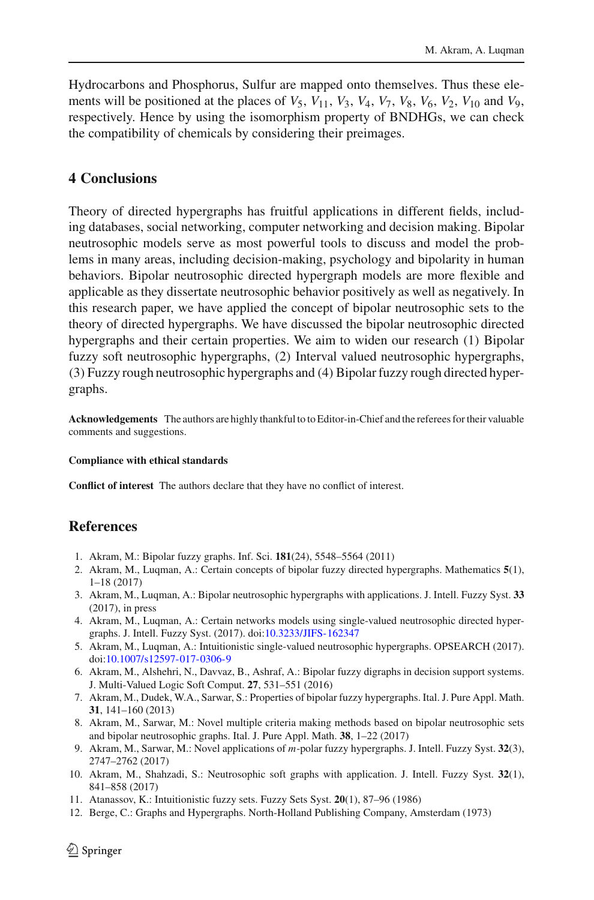Hydrocarbons and Phosphorus, Sulfur are mapped onto themselves. Thus these elements will be positioned at the places of  $V_5$ ,  $V_{11}$ ,  $V_3$ ,  $V_4$ ,  $V_7$ ,  $V_8$ ,  $V_6$ ,  $V_2$ ,  $V_{10}$  and  $V_9$ , respectively. Hence by using the isomorphism property of BNDHGs, we can check the compatibility of chemicals by considering their preimages.

## **4 Conclusions**

Theory of directed hypergraphs has fruitful applications in different fields, including databases, social networking, computer networking and decision making. Bipolar neutrosophic models serve as most powerful tools to discuss and model the problems in many areas, including decision-making, psychology and bipolarity in human behaviors. Bipolar neutrosophic directed hypergraph models are more flexible and applicable as they dissertate neutrosophic behavior positively as well as negatively. In this research paper, we have applied the concept of bipolar neutrosophic sets to the theory of directed hypergraphs. We have discussed the bipolar neutrosophic directed hypergraphs and their certain properties. We aim to widen our research (1) Bipolar fuzzy soft neutrosophic hypergraphs, (2) Interval valued neutrosophic hypergraphs, (3) Fuzzy rough neutrosophic hypergraphs and (4)Bipolar fuzzy rough directed hypergraphs.

**Acknowledgements** The authors are highly thankful to to Editor-in-Chief and the referees for their valuable comments and suggestions.

#### **Compliance with ethical standards**

**Conflict of interest** The authors declare that they have no conflict of interest.

## **References**

- <span id="page-27-1"></span>1. Akram, M.: Bipolar fuzzy graphs. Inf. Sci. **181**(24), 5548–5564 (2011)
- <span id="page-27-8"></span>2. Akram, M., Luqman, A.: Certain concepts of bipolar fuzzy directed hypergraphs. Mathematics **5**(1), 1–18 (2017)
- <span id="page-27-11"></span>3. Akram, M., Luqman, A.: Bipolar neutrosophic hypergraphs with applications. J. Intell. Fuzzy Syst. **33** (2017), in press
- <span id="page-27-9"></span>4. Akram, M., Luqman, A.: Certain networks models using single-valued neutrosophic directed hypergraphs. J. Intell. Fuzzy Syst. (2017). doi[:10.3233/JIFS-162347](http://dx.doi.org/10.3233/JIFS-162347)
- <span id="page-27-10"></span>5. Akram, M., Luqman, A.: Intuitionistic single-valued neutrosophic hypergraphs. OPSEARCH (2017). doi[:10.1007/s12597-017-0306-9](http://dx.doi.org/10.1007/s12597-017-0306-9)
- <span id="page-27-2"></span>6. Akram, M., Alshehri, N., Davvaz, B., Ashraf, A.: Bipolar fuzzy digraphs in decision support systems. J. Multi-Valued Logic Soft Comput. **27**, 531–551 (2016)
- <span id="page-27-6"></span>7. Akram, M., Dudek, W.A., Sarwar, S.: Properties of bipolar fuzzy hypergraphs. Ital. J. Pure Appl. Math. **31**, 141–160 (2013)
- <span id="page-27-4"></span>8. Akram, M., Sarwar, M.: Novel multiple criteria making methods based on bipolar neutrosophic sets and bipolar neutrosophic graphs. Ital. J. Pure Appl. Math. **38**, 1–22 (2017)
- <span id="page-27-7"></span>9. Akram, M., Sarwar, M.: Novel applications of *m*-polar fuzzy hypergraphs. J. Intell. Fuzzy Syst. **32**(3), 2747–2762 (2017)
- <span id="page-27-3"></span>10. Akram, M., Shahzadi, S.: Neutrosophic soft graphs with application. J. Intell. Fuzzy Syst. **32**(1), 841–858 (2017)
- <span id="page-27-0"></span>11. Atanassov, K.: Intuitionistic fuzzy sets. Fuzzy Sets Syst. **20**(1), 87–96 (1986)
- <span id="page-27-5"></span>12. Berge, C.: Graphs and Hypergraphs. North-Holland Publishing Company, Amsterdam (1973)